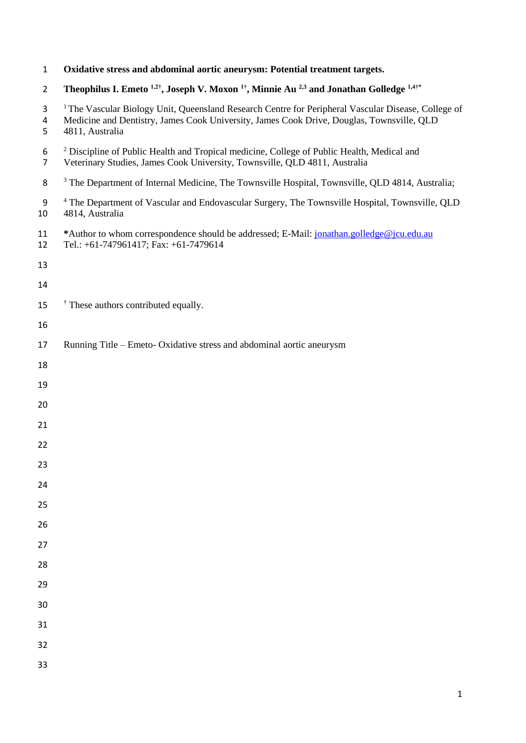| $\mathbf{1}$        | Oxidative stress and abdominal aortic aneurysm: Potential treatment targets.                                                                                                                                                   |
|---------------------|--------------------------------------------------------------------------------------------------------------------------------------------------------------------------------------------------------------------------------|
| $\overline{2}$      | Theophilus I. Emeto $^{1,2^+}$ , Joseph V. Moxon $^{1^+}$ , Minnie Au $^{2,3}$ and Jonathan Golledge $^{1,4^+*}$                                                                                                               |
| 3<br>4<br>5         | <sup>1</sup> The Vascular Biology Unit, Queensland Research Centre for Peripheral Vascular Disease, College of<br>Medicine and Dentistry, James Cook University, James Cook Drive, Douglas, Townsville, QLD<br>4811, Australia |
| 6<br>$\overline{7}$ | <sup>2</sup> Discipline of Public Health and Tropical medicine, College of Public Health, Medical and<br>Veterinary Studies, James Cook University, Townsville, QLD 4811, Australia                                            |
| 8                   | <sup>3</sup> The Department of Internal Medicine, The Townsville Hospital, Townsville, QLD 4814, Australia;                                                                                                                    |
| 9<br>10             | <sup>4</sup> The Department of Vascular and Endovascular Surgery, The Townsville Hospital, Townsville, QLD<br>4814, Australia                                                                                                  |
| 11<br>12            | *Author to whom correspondence should be addressed; E-Mail: jonathan.golledge@jcu.edu.au<br>Tel.: +61-747961417; Fax: +61-7479614                                                                                              |
| 13                  |                                                                                                                                                                                                                                |
| 14                  |                                                                                                                                                                                                                                |
| 15                  | <sup>†</sup> These authors contributed equally.                                                                                                                                                                                |
| 16                  |                                                                                                                                                                                                                                |
| 17                  | Running Title – Emeto- Oxidative stress and abdominal aortic aneurysm                                                                                                                                                          |
| 18                  |                                                                                                                                                                                                                                |
| 19                  |                                                                                                                                                                                                                                |
| 20                  |                                                                                                                                                                                                                                |
| 21                  |                                                                                                                                                                                                                                |
| 22                  |                                                                                                                                                                                                                                |
| 23                  |                                                                                                                                                                                                                                |
| 24                  |                                                                                                                                                                                                                                |
| 25                  |                                                                                                                                                                                                                                |
| 26                  |                                                                                                                                                                                                                                |
| 27                  |                                                                                                                                                                                                                                |
| 28                  |                                                                                                                                                                                                                                |
| 29                  |                                                                                                                                                                                                                                |
| 30                  |                                                                                                                                                                                                                                |
| 31                  |                                                                                                                                                                                                                                |
| 32                  |                                                                                                                                                                                                                                |
| 33                  |                                                                                                                                                                                                                                |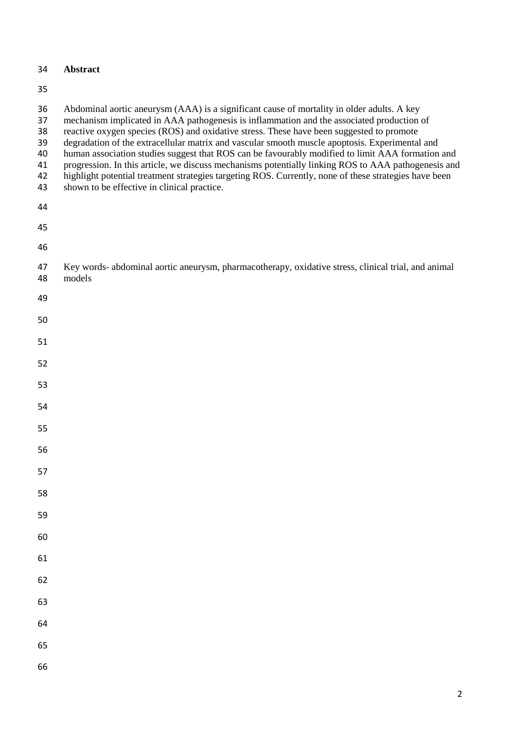# **Abstract**

| 36<br>37<br>38<br>39<br>40<br>41<br>42<br>43 | Abdominal aortic aneurysm (AAA) is a significant cause of mortality in older adults. A key<br>mechanism implicated in AAA pathogenesis is inflammation and the associated production of<br>reactive oxygen species (ROS) and oxidative stress. These have been suggested to promote<br>degradation of the extracellular matrix and vascular smooth muscle apoptosis. Experimental and<br>human association studies suggest that ROS can be favourably modified to limit AAA formation and<br>progression. In this article, we discuss mechanisms potentially linking ROS to AAA pathogenesis and<br>highlight potential treatment strategies targeting ROS. Currently, none of these strategies have been<br>shown to be effective in clinical practice. |
|----------------------------------------------|----------------------------------------------------------------------------------------------------------------------------------------------------------------------------------------------------------------------------------------------------------------------------------------------------------------------------------------------------------------------------------------------------------------------------------------------------------------------------------------------------------------------------------------------------------------------------------------------------------------------------------------------------------------------------------------------------------------------------------------------------------|
| 44                                           |                                                                                                                                                                                                                                                                                                                                                                                                                                                                                                                                                                                                                                                                                                                                                          |
| 45                                           |                                                                                                                                                                                                                                                                                                                                                                                                                                                                                                                                                                                                                                                                                                                                                          |
| 46                                           |                                                                                                                                                                                                                                                                                                                                                                                                                                                                                                                                                                                                                                                                                                                                                          |
| 47<br>48                                     | Key words- abdominal aortic aneurysm, pharmacotherapy, oxidative stress, clinical trial, and animal<br>models                                                                                                                                                                                                                                                                                                                                                                                                                                                                                                                                                                                                                                            |
| 49                                           |                                                                                                                                                                                                                                                                                                                                                                                                                                                                                                                                                                                                                                                                                                                                                          |
| 50                                           |                                                                                                                                                                                                                                                                                                                                                                                                                                                                                                                                                                                                                                                                                                                                                          |
| 51                                           |                                                                                                                                                                                                                                                                                                                                                                                                                                                                                                                                                                                                                                                                                                                                                          |
| 52                                           |                                                                                                                                                                                                                                                                                                                                                                                                                                                                                                                                                                                                                                                                                                                                                          |
| 53                                           |                                                                                                                                                                                                                                                                                                                                                                                                                                                                                                                                                                                                                                                                                                                                                          |
| 54                                           |                                                                                                                                                                                                                                                                                                                                                                                                                                                                                                                                                                                                                                                                                                                                                          |
| 55                                           |                                                                                                                                                                                                                                                                                                                                                                                                                                                                                                                                                                                                                                                                                                                                                          |
| 56                                           |                                                                                                                                                                                                                                                                                                                                                                                                                                                                                                                                                                                                                                                                                                                                                          |
| 57                                           |                                                                                                                                                                                                                                                                                                                                                                                                                                                                                                                                                                                                                                                                                                                                                          |
| 58                                           |                                                                                                                                                                                                                                                                                                                                                                                                                                                                                                                                                                                                                                                                                                                                                          |
| 59                                           |                                                                                                                                                                                                                                                                                                                                                                                                                                                                                                                                                                                                                                                                                                                                                          |
| 60                                           |                                                                                                                                                                                                                                                                                                                                                                                                                                                                                                                                                                                                                                                                                                                                                          |
| 61                                           |                                                                                                                                                                                                                                                                                                                                                                                                                                                                                                                                                                                                                                                                                                                                                          |
| 62                                           |                                                                                                                                                                                                                                                                                                                                                                                                                                                                                                                                                                                                                                                                                                                                                          |
| 63                                           |                                                                                                                                                                                                                                                                                                                                                                                                                                                                                                                                                                                                                                                                                                                                                          |
| 64                                           |                                                                                                                                                                                                                                                                                                                                                                                                                                                                                                                                                                                                                                                                                                                                                          |
| 65                                           |                                                                                                                                                                                                                                                                                                                                                                                                                                                                                                                                                                                                                                                                                                                                                          |
|                                              |                                                                                                                                                                                                                                                                                                                                                                                                                                                                                                                                                                                                                                                                                                                                                          |
| 66                                           |                                                                                                                                                                                                                                                                                                                                                                                                                                                                                                                                                                                                                                                                                                                                                          |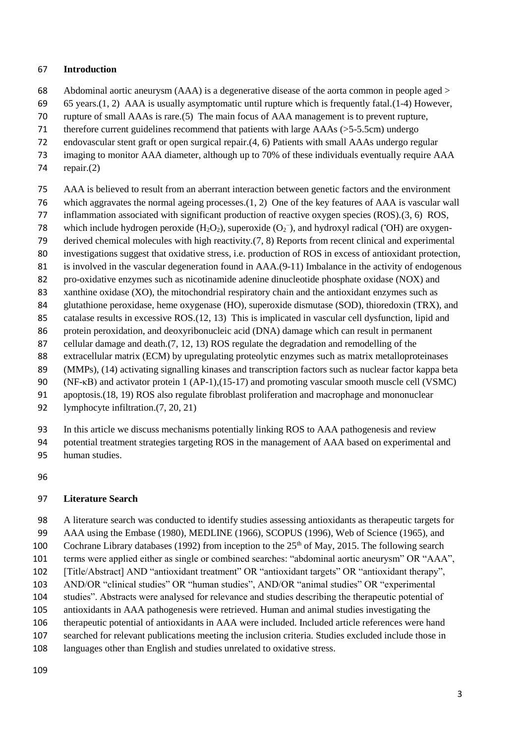### **Introduction**

- Abdominal aortic aneurysm (AAA) is a degenerative disease of the aorta common in people aged >
- 65 years.(1, 2) AAA is usually asymptomatic until rupture which is frequently fatal.(1-4) However,
- rupture of small AAAs is rare.(5) The main focus of AAA management is to prevent rupture,
- therefore current guidelines recommend that patients with large AAAs (>5-5.5cm) undergo
- endovascular stent graft or open surgical repair.(4, 6) Patients with small AAAs undergo regular
- imaging to monitor AAA diameter, although up to 70% of these individuals eventually require AAA
- repair.(2)
- AAA is believed to result from an aberrant interaction between genetic factors and the environment
- which aggravates the normal ageing processes.(1, 2) One of the key features of AAA is vascular wall
- inflammation associated with significant production of reactive oxygen species (ROS).(3, 6) ROS,
- 78 which include hydrogen peroxide  $(H_2O_2)$ , superoxide  $(O_2^-)$ , and hydroxyl radical ('OH) are oxygen-
- derived chemical molecules with high reactivity.(7, 8) Reports from recent clinical and experimental
- investigations suggest that oxidative stress, i.e. production of ROS in excess of antioxidant protection,
- is involved in the vascular degeneration found in AAA.(9-11) Imbalance in the activity of endogenous
- pro-oxidative enzymes such as nicotinamide adenine dinucleotide phosphate oxidase (NOX) and
- xanthine oxidase (XO), the mitochondrial respiratory chain and the antioxidant enzymes such as
- glutathione peroxidase, heme oxygenase (HO), superoxide dismutase (SOD), thioredoxin (TRX), and
- catalase results in excessive ROS.(12, 13) This is implicated in vascular cell dysfunction, lipid and
- 86 protein peroxidation, and deoxyribonucleic acid (DNA) damage which can result in permanent cellular damage and death.(7, 12, 13) ROS regulate the degradation and remodelling of the
- extracellular matrix (ECM) by upregulating proteolytic enzymes such as matrix metalloproteinases
- (MMPs), (14) activating signalling kinases and transcription factors such as nuclear factor kappa beta
- (NF-κB) and activator protein 1 (AP-1),(15-17) and promoting vascular smooth muscle cell (VSMC)
- apoptosis.(18, 19) ROS also regulate fibroblast proliferation and macrophage and mononuclear
- lymphocyte infiltration.(7, 20, 21)
- In this article we discuss mechanisms potentially linking ROS to AAA pathogenesis and review
- potential treatment strategies targeting ROS in the management of AAA based on experimental and
- human studies.
- 

# **Literature Search**

A literature search was conducted to identify studies assessing antioxidants as therapeutic targets for

- AAA using the Embase (1980), MEDLINE (1966), SCOPUS (1996), Web of Science (1965), and 100 Cochrane Library databases (1992) from inception to the  $25<sup>th</sup>$  of May, 2015. The following search
- terms were applied either as single or combined searches: "abdominal aortic aneurysm" OR "AAA",
- 
- [Title/Abstract] AND "antioxidant treatment" OR "antioxidant targets" OR "antioxidant therapy", AND/OR "clinical studies" OR "human studies", AND/OR "animal studies" OR "experimental
- studies". Abstracts were analysed for relevance and studies describing the therapeutic potential of
- antioxidants in AAA pathogenesis were retrieved. Human and animal studies investigating the
- therapeutic potential of antioxidants in AAA were included. Included article references were hand
- searched for relevant publications meeting the inclusion criteria. Studies excluded include those in
- languages other than English and studies unrelated to oxidative stress.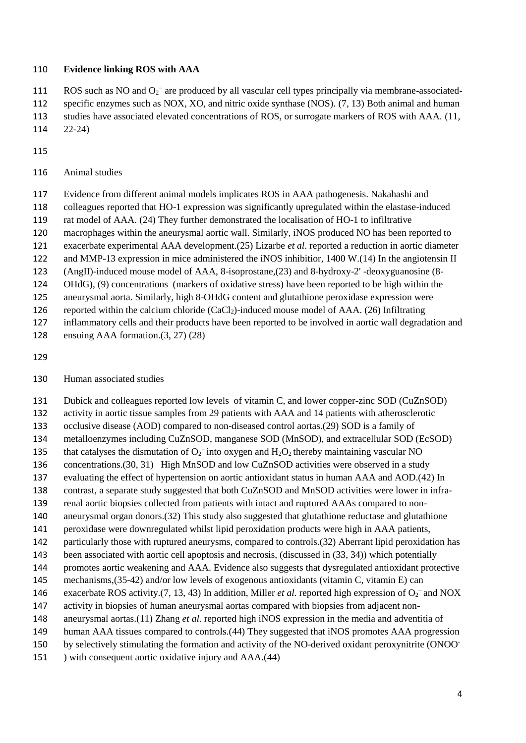#### **Evidence linking ROS with AAA**

111 ROS such as NO and  $O_2^-$  are produced by all vascular cell types principally via membrane-associated-

 specific enzymes such as NOX, XO, and nitric oxide synthase (NOS). (7, 13) Both animal and human studies have associated elevated concentrations of ROS, or surrogate markers of ROS with AAA. (11,

- 22-24)
- 
- Animal studies
- Evidence from different animal models implicates ROS in AAA pathogenesis. Nakahashi and
- colleagues reported that HO-1 expression was significantly upregulated within the elastase-induced
- rat model of AAA. (24) They further demonstrated the localisation of HO-1 to infiltrative
- macrophages within the aneurysmal aortic wall. Similarly, iNOS produced NO has been reported to
- exacerbate experimental AAA development.(25) Lizarbe *et al.* reported a reduction in aortic diameter
- and MMP-13 expression in mice administered the iNOS inhibitior, 1400 W.(14) In the angiotensin II
- (AngII)-induced mouse model of AAA, 8-isoprostane,(23) and 8-hydroxy-2' -deoxyguanosine (8-
- OHdG), (9) concentrations (markers of oxidative stress) have been reported to be high within the
- aneurysmal aorta. Similarly, high 8-OHdG content and glutathione peroxidase expression were
- reported within the calcium chloride (CaCl2)-induced mouse model of AAA. (26) Infiltrating
- inflammatory cells and their products have been reported to be involved in aortic wall degradation and
- ensuing AAA formation.(3, 27) (28)
- 
- Human associated studies
- Dubick and colleagues reported low levels of vitamin C, and lower copper-zinc SOD (CuZnSOD)
- activity in aortic tissue samples from 29 patients with AAA and 14 patients with atherosclerotic
- occlusive disease (AOD) compared to non-diseased control aortas.(29) SOD is a family of
- metalloenzymes including CuZnSOD, manganese SOD (MnSOD), and extracellular SOD (EcSOD)
- 135 that catalyses the dismutation of  $O_2^-$  into oxygen and  $H_2O_2$  thereby maintaining vascular NO
- concentrations.(30, 31) High MnSOD and low CuZnSOD activities were observed in a study
- evaluating the effect of hypertension on aortic antioxidant status in human AAA and AOD.(42) In
- contrast, a separate study suggested that both CuZnSOD and MnSOD activities were lower in infra-
- renal aortic biopsies collected from patients with intact and ruptured AAAs compared to non-
- aneurysmal organ donors.(32) This study also suggested that glutathione reductase and glutathione
- peroxidase were downregulated whilst lipid peroxidation products were high in AAA patients,
- particularly those with ruptured aneurysms, compared to controls.(32) Aberrant lipid peroxidation has
- 143 been associated with aortic cell apoptosis and necrosis, (discussed in  $(33, 34)$ ) which potentially
- promotes aortic weakening and AAA. Evidence also suggests that dysregulated antioxidant protective mechanisms,(35-42) and/or low levels of exogenous antioxidants (vitamin C, vitamin E) can
- 146 exacerbate ROS activity.(7, 13, 43) In addition, Miller *et al.* reported high expression of  $O_2^-$  and NOX
- activity in biopsies of human aneurysmal aortas compared with biopsies from adjacent non-
- aneurysmal aortas.(11) Zhang *et al.* reported high iNOS expression in the media and adventitia of
- human AAA tissues compared to controls.(44) They suggested that iNOS promotes AAA progression
- by selectively stimulating the formation and activity of the NO-derived oxidant peroxynitrite (ONOO-
- ) with consequent aortic oxidative injury and AAA.(44)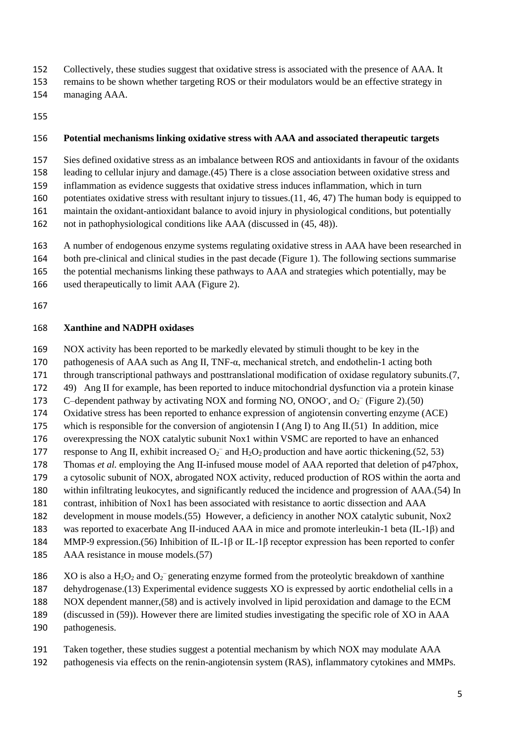- Collectively, these studies suggest that oxidative stress is associated with the presence of AAA. It
- remains to be shown whether targeting ROS or their modulators would be an effective strategy in
- managing AAA.
- 

## **Potential mechanisms linking oxidative stress with AAA and associated therapeutic targets**

Sies defined oxidative stress as an imbalance between ROS and antioxidants in favour of the oxidants

leading to cellular injury and damage.(45) There is a close association between oxidative stress and

inflammation as evidence suggests that oxidative stress induces inflammation, which in turn

- potentiates oxidative stress with resultant injury to tissues.(11, 46, 47) The human body is equipped to
- maintain the oxidant-antioxidant balance to avoid injury in physiological conditions, but potentially
- not in pathophysiological conditions like AAA (discussed in (45, 48)).

A number of endogenous enzyme systems regulating oxidative stress in AAA have been researched in

- both pre-clinical and clinical studies in the past decade (Figure 1). The following sections summarise
- the potential mechanisms linking these pathways to AAA and strategies which potentially, may be
- used therapeutically to limit AAA (Figure 2).
- 

## **Xanthine and NADPH oxidases**

NOX activity has been reported to be markedly elevated by stimuli thought to be key in the

- pathogenesis of AAA such as Ang II, TNF-α, mechanical stretch, and endothelin-1 acting both
- through transcriptional pathways and posttranslational modification of oxidase regulatory subunits.(7,
- 49) Ang II for example, has been reported to induce mitochondrial dysfunction via a protein kinase
- 173 C–dependent pathway by activating NOX and forming NO, ONOO, and  $O_2^-$  (Figure 2).(50)
- Oxidative stress has been reported to enhance expression of angiotensin converting enzyme (ACE)
- which is responsible for the conversion of angiotensin I (Ang I) to Ang II.(51) In addition, mice
- overexpressing the NOX catalytic subunit Nox1 within VSMC are reported to have an enhanced
- 177 response to Ang II, exhibit increased  $O_2^-$  and  $H_2O_2$  production and have aortic thickening.(52, 53) Thomas *et al.* employing the Ang II-infused mouse model of AAA reported that deletion of p47phox,
- a cytosolic subunit of NOX, abrogated NOX activity, reduced production of ROS within the aorta and
- within infiltrating leukocytes, and significantly reduced the incidence and progression of AAA.(54) In
- contrast, inhibition of Nox1 has been associated with resistance to aortic dissection and AAA
- development in mouse models.(55) However, a deficiency in another NOX catalytic subunit, Nox2
- was reported to exacerbate Ang II-induced AAA in mice and promote interleukin-1 beta (IL-1β) and
- MMP-9 expression.(56) Inhibition of IL-1β or IL-1β receptor expression has been reported to confer
- AAA resistance in mouse models.(57)
- 186 XO is also a  $H_2O_2$  and  $O_2^-$  generating enzyme formed from the proteolytic breakdown of xanthine
- dehydrogenase.(13) Experimental evidence suggests XO is expressed by aortic endothelial cells in a
- NOX dependent manner,(58) and is actively involved in lipid peroxidation and damage to the ECM
- (discussed in (59)). However there are limited studies investigating the specific role of XO in AAA
- pathogenesis.
- Taken together, these studies suggest a potential mechanism by which NOX may modulate AAA
- pathogenesis via effects on the renin-angiotensin system (RAS), inflammatory cytokines and MMPs.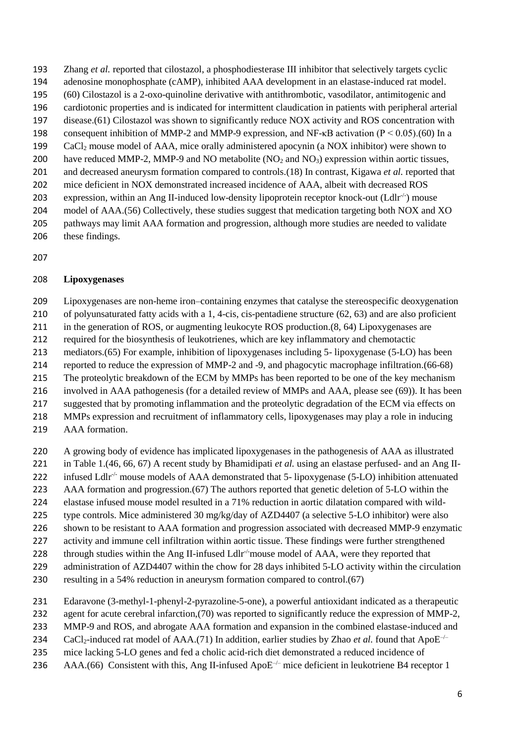- Zhang *et al.* reported that cilostazol, a phosphodiesterase III inhibitor that selectively targets cyclic
- adenosine monophosphate (cAMP), inhibited AAA development in an elastase-induced rat model.
- (60) Cilostazol is a 2-oxo-quinoline derivative with antithrombotic, vasodilator, antimitogenic and
- cardiotonic properties and is indicated for intermittent claudication in patients with peripheral arterial disease.(61) Cilostazol was shown to significantly reduce NOX activity and ROS concentration with
- 198 consequent inhibition of MMP-2 and MMP-9 expression, and NF- $\kappa$ B activation (P < 0.05).(60) In a
- CaCl<sup>2</sup> mouse model of AAA, mice orally administered apocynin (a NOX inhibitor) were shown to
- 200 have reduced MMP-2, MMP-9 and NO metabolite  $(NO<sub>2</sub>$  and  $NO<sub>3</sub>)$  expression within aortic tissues,
- and decreased aneurysm formation compared to controls.(18) In contrast, Kigawa *et al.* reported that
- mice deficient in NOX demonstrated increased incidence of AAA, albeit with decreased ROS
- 203 expression, within an Ang II-induced low-density lipoprotein receptor knock-out  $(Ldir^{-1})$  mouse
- model of AAA.(56) Collectively, these studies suggest that medication targeting both NOX and XO
- pathways may limit AAA formation and progression, although more studies are needed to validate these findings.
- 

# **Lipoxygenases**

Lipoxygenases are non-heme iron–containing enzymes that catalyse the stereospecific deoxygenation

- of polyunsaturated fatty acids with a 1, 4-cis, cis-pentadiene structure (62, 63) and are also proficient
- in the generation of ROS, or augmenting leukocyte ROS production.(8, 64) Lipoxygenases are
- required for the biosynthesis of leukotrienes, which are key inflammatory and chemotactic
- mediators.(65) For example, inhibition of lipoxygenases including 5- lipoxygenase (5-LO) has been
- reported to reduce the expression of MMP-2 and -9, and phagocytic macrophage infiltration.(66-68)
- The proteolytic breakdown of the ECM by MMPs has been reported to be one of the key mechanism
- involved in AAA pathogenesis (for a detailed review of MMPs and AAA, please see (69)). It has been
- suggested that by promoting inflammation and the proteolytic degradation of the ECM via effects on
- MMPs expression and recruitment of inflammatory cells, lipoxygenases may play a role in inducing
- AAA formation.
- A growing body of evidence has implicated lipoxygenases in the pathogenesis of AAA as illustrated
- in Table 1.(46, 66, 67) A recent study by Bhamidipati *et al.* using an elastase perfused- and an Ang II-
- 222 infused Ldlr<sup> $\div$ </sup> mouse models of AAA demonstrated that 5- lipoxygenase (5-LO) inhibition attenuated
- AAA formation and progression.(67) The authors reported that genetic deletion of 5-LO within the
- elastase infused mouse model resulted in a 71% reduction in aortic dilatation compared with wild-
- type controls. Mice administered 30 mg/kg/day of AZD4407 (a selective 5-LO inhibitor) were also
- shown to be resistant to AAA formation and progression associated with decreased MMP-9 enzymatic
- activity and immune cell infiltration within aortic tissue. These findings were further strengthened
- 228  $\cdot$  through studies within the Ang II-infused Ldlr<sup>-/-</sup>mouse model of AAA, were they reported that
- administration of AZD4407 within the chow for 28 days inhibited 5-LO activity within the circulation
- resulting in a 54% reduction in aneurysm formation compared to control.(67)
- Edaravone (3-methyl-1-phenyl-2-pyrazoline-5-one), a powerful antioxidant indicated as a therapeutic
- 232 agent for acute cerebral infarction.(70) was reported to significantly reduce the expression of MMP-2,
- MMP-9 and ROS, and abrogate AAA formation and expansion in the combined elastase-induced and
- 234 CaCl<sub>2</sub>-induced rat model of AAA.(71) In addition, earlier studies by Zhao *et al.* found that ApoE<sup>-/-</sup>
- mice lacking 5-LO genes and fed a cholic acid-rich diet demonstrated a reduced incidence of
- 236 AAA.(66) Consistent with this, Ang II-infused Apo $E^{-/-}$  mice deficient in leukotriene B4 receptor 1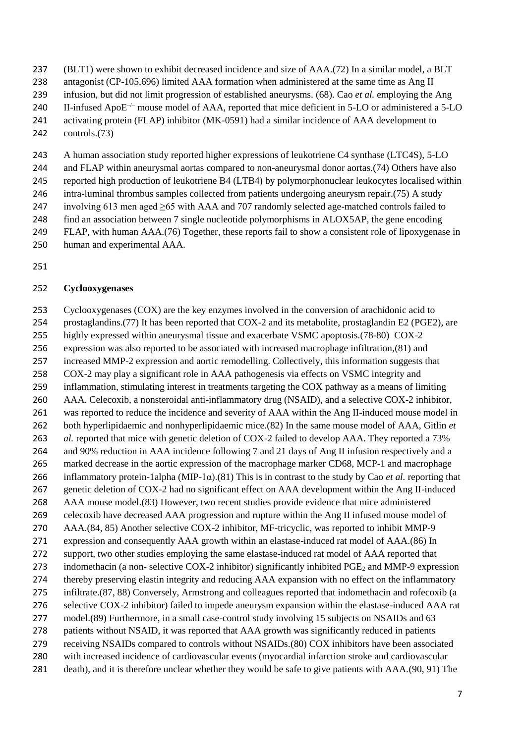- (BLT1) were shown to exhibit decreased incidence and size of AAA.(72) In a similar model, a BLT
- 238 antagonist (CP-105,696) limited AAA formation when administered at the same time as Ang II
- infusion, but did not limit progression of established aneurysms. (68). Cao *et al.* employing the Ang
- 240 II-infused Apo $E^{-/-}$  mouse model of AAA, reported that mice deficient in 5-LO or administered a 5-LO
- activating protein (FLAP) inhibitor (MK-0591) had a similar incidence of AAA development to
- controls.(73)
- A human association study reported higher expressions of leukotriene C4 synthase (LTC4S), 5-LO
- 244 and FLAP within aneurysmal aortas compared to non-aneurysmal donor aortas.(74) Others have also
- reported high production of leukotriene B4 (LTB4) by polymorphonuclear leukocytes localised within
- intra-luminal thrombus samples collected from patients undergoing aneurysm repair.(75) A study
- involving 613 men aged ≥65 with AAA and 707 randomly selected age-matched controls failed to
- find an association between 7 single nucleotide polymorphisms in ALOX5AP, the gene encoding
- FLAP, with human AAA.(76) Together, these reports fail to show a consistent role of lipoxygenase in
- human and experimental AAA.
- 

## **Cyclooxygenases**

 Cyclooxygenases (COX) are the key enzymes involved in the conversion of arachidonic acid to prostaglandins.(77) It has been reported that COX-2 and its metabolite, prostaglandin E2 (PGE2), are highly expressed within aneurysmal tissue and exacerbate VSMC apoptosis.(78-80) COX-2 expression was also reported to be associated with increased macrophage infiltration,(81) and increased MMP-2 expression and aortic remodelling. Collectively, this information suggests that COX-2 may play a significant role in AAA pathogenesis via effects on VSMC integrity and inflammation, stimulating interest in treatments targeting the COX pathway as a means of limiting AAA. Celecoxib, a nonsteroidal anti-inflammatory drug (NSAID), and a selective COX-2 inhibitor, was reported to reduce the incidence and severity of AAA within the Ang II-induced mouse model in both hyperlipidaemic and nonhyperlipidaemic mice.(82) In the same mouse model of AAA, Gitlin *et al.* reported that mice with genetic deletion of COX-2 failed to develop AAA. They reported a 73% and 90% reduction in AAA incidence following 7 and 21 days of Ang II infusion respectively and a marked decrease in the aortic expression of the macrophage marker CD68, MCP-1 and macrophage inflammatory protein-1alpha (MIP-1α).(81) This is in contrast to the study by Cao *et al.* reporting that genetic deletion of COX-2 had no significant effect on AAA development within the Ang II-induced AAA mouse model.(83) However, two recent studies provide evidence that mice administered celecoxib have decreased AAA progression and rupture within the Ang II infused mouse model of AAA.(84, 85) Another selective COX-2 inhibitor, MF-tricyclic, was reported to inhibit MMP-9 expression and consequently AAA growth within an elastase-induced rat model of AAA.(86) In support, two other studies employing the same elastase-induced rat model of AAA reported that 273 indomethacin (a non- selective COX-2 inhibitor) significantly inhibited PGE<sub>2</sub> and MMP-9 expression thereby preserving elastin integrity and reducing AAA expansion with no effect on the inflammatory infiltrate.(87, 88) Conversely, Armstrong and colleagues reported that indomethacin and rofecoxib (a selective COX-2 inhibitor) failed to impede aneurysm expansion within the elastase-induced AAA rat model.(89) Furthermore, in a small case-control study involving 15 subjects on NSAIDs and 63 patients without NSAID, it was reported that AAA growth was significantly reduced in patients receiving NSAIDs compared to controls without NSAIDs.(80) COX inhibitors have been associated with increased incidence of cardiovascular events (myocardial infarction stroke and cardiovascular death), and it is therefore unclear whether they would be safe to give patients with AAA.(90, 91) The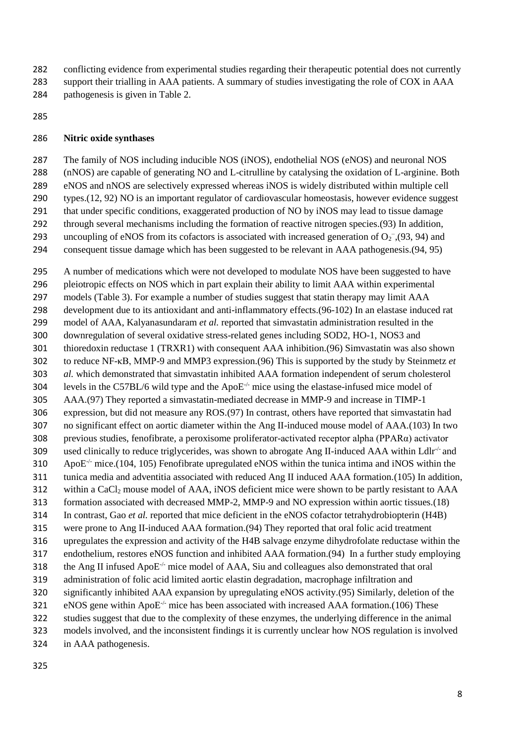- conflicting evidence from experimental studies regarding their therapeutic potential does not currently
- support their trialling in AAA patients. A summary of studies investigating the role of COX in AAA pathogenesis is given in Table 2.
- 

### **Nitric oxide synthases**

 The family of NOS including inducible NOS (iNOS), endothelial NOS (eNOS) and neuronal NOS (nNOS) are capable of generating NO and L-citrulline by catalysing the oxidation of L-arginine. Both eNOS and nNOS are selectively expressed whereas iNOS is widely distributed within multiple cell types.(12, 92) NO is an important regulator of cardiovascular homeostasis, however evidence suggest that under specific conditions, exaggerated production of NO by iNOS may lead to tissue damage through several mechanisms including the formation of reactive nitrogen species.(93) In addition, 293 uncoupling of eNOS from its cofactors is associated with increased generation of  $O_2^-$ , (93, 94) and consequent tissue damage which has been suggested to be relevant in AAA pathogenesis.(94, 95)

 A number of medications which were not developed to modulate NOS have been suggested to have pleiotropic effects on NOS which in part explain their ability to limit AAA within experimental models (Table 3). For example a number of studies suggest that statin therapy may limit AAA development due to its antioxidant and anti-inflammatory effects.(96-102) In an elastase induced rat model of AAA, Kalyanasundaram *et al.* reported that simvastatin administration resulted in the downregulation of several oxidative stress-related genes including SOD2, HO-1, NOS3 and thioredoxin reductase 1 (TRXR1) with consequent AAA inhibition.(96) Simvastatin was also shown to reduce NF-κB, MMP-9 and MMP3 expression.(96) This is supported by the study by Steinmetz *et al.* which demonstrated that simvastatin inhibited AAA formation independent of serum cholesterol 304 levels in the C57BL/6 wild type and the ApoE $\cdot$ - $\cdot$  mice using the elastase-infused mice model of AAA.(97) They reported a simvastatin-mediated decrease in MMP-9 and increase in TIMP-1 expression, but did not measure any ROS.(97) In contrast, others have reported that simvastatin had no significant effect on aortic diameter within the Ang II-induced mouse model of AAA.(103) In two previous studies, fenofibrate, a peroxisome proliferator-activated receptor alpha (PPARα) activator 309 used clinically to reduce triglycerides, was shown to abrogate Ang II-induced AAA within Ldlr<sup> $\div$ </sup> and  $\text{ApoE}^+$  mice.(104, 105) Fenofibrate upregulated eNOS within the tunica intima and iNOS within the tunica media and adventitia associated with reduced Ang II induced AAA formation.(105) In addition, 312 within a CaCl<sub>2</sub> mouse model of AAA, iNOS deficient mice were shown to be partly resistant to AAA formation associated with decreased MMP-2, MMP-9 and NO expression within aortic tissues.(18) In contrast, Gao *et al.* reported that mice deficient in the eNOS cofactor tetrahydrobiopterin (H4B) were prone to Ang II-induced AAA formation.(94) They reported that oral folic acid treatment upregulates the expression and activity of the H4B salvage enzyme dihydrofolate reductase within the endothelium, restores eNOS function and inhibited AAA formation.(94) In a further study employing 318 the Ang II infused ApoE<sup> $\div$ </sup> mice model of AAA, Siu and colleagues also demonstrated that oral administration of folic acid limited aortic elastin degradation, macrophage infiltration and significantly inhibited AAA expansion by upregulating eNOS activity.(95) Similarly, deletion of the ences 321  $\cdot$  eNOS gene within ApoE<sup> $\cdot/$ </sup> mice has been associated with increased AAA formation.(106) These studies suggest that due to the complexity of these enzymes, the underlying difference in the animal models involved, and the inconsistent findings it is currently unclear how NOS regulation is involved in AAA pathogenesis.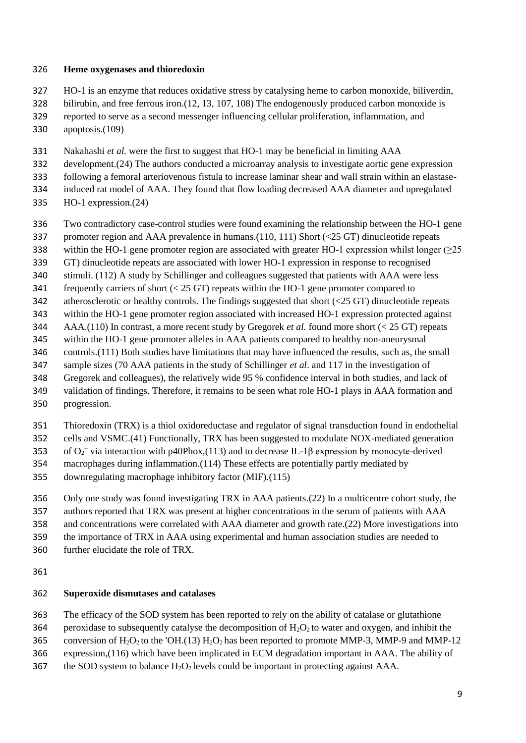#### **Heme oxygenases and thioredoxin**

- HO-1 is an enzyme that reduces oxidative stress by catalysing heme to carbon monoxide, biliverdin,
- bilirubin, and free ferrous iron.(12, 13, 107, 108) The endogenously produced carbon monoxide is
- reported to serve as a second messenger influencing cellular proliferation, inflammation, and
- apoptosis.(109)
- Nakahashi *et al.* were the first to suggest that HO-1 may be beneficial in limiting AAA
- development.(24) The authors conducted a microarray analysis to investigate aortic gene expression
- following a femoral arteriovenous fistula to increase laminar shear and wall strain within an elastase-
- induced rat model of AAA. They found that flow loading decreased AAA diameter and upregulated
- HO-1 expression.(24)
- Two contradictory case-control studies were found examining the relationship between the HO-1 gene
- promoter region and AAA prevalence in humans.(110, 111) Short (<25 GT) dinucleotide repeats
- within the HO-1 gene promoter region are associated with greater HO-1 expression whilst longer (≥25
- GT) dinucleotide repeats are associated with lower HO-1 expression in response to recognised
- stimuli. (112) A study by Schillinger and colleagues suggested that patients with AAA were less
- frequently carriers of short (< 25 GT) repeats within the HO-1 gene promoter compared to
- atherosclerotic or healthy controls. The findings suggested that short (<25 GT) dinucleotide repeats
- within the HO-1 gene promoter region associated with increased HO-1 expression protected against AAA.(110) In contrast, a more recent study by Gregorek *et al.* found more short (< 25 GT) repeats
- within the HO-1 gene promoter alleles in AAA patients compared to healthy non-aneurysmal
- controls.(111) Both studies have limitations that may have influenced the results, such as, the small
- sample sizes (70 AAA patients in the study of Schillinger *et al*. and 117 in the investigation of
- Gregorek and colleagues), the relatively wide 95 % confidence interval in both studies, and lack of
- validation of findings. Therefore, it remains to be seen what role HO-1 plays in AAA formation and progression.
- Thioredoxin (TRX) is a thiol oxidoreductase and regulator of signal transduction found in endothelial
- cells and VSMC.(41) Functionally, TRX has been suggested to modulate NOX-mediated generation
- 353 of  $O_2$ <sup>-</sup> via interaction with p40Phox,(113) and to decrease IL-1β expression by monocyte-derived
- macrophages during inflammation.(114) These effects are potentially partly mediated by
- downregulating macrophage inhibitory factor (MIF).(115)
- Only one study was found investigating TRX in AAA patients.(22) In a multicentre cohort study, the authors reported that TRX was present at higher concentrations in the serum of patients with AAA
- and concentrations were correlated with AAA diameter and growth rate.(22) More investigations into
- the importance of TRX in AAA using experimental and human association studies are needed to
- further elucidate the role of TRX.
- 

## **Superoxide dismutases and catalases**

- The efficacy of the SOD system has been reported to rely on the ability of catalase or glutathione
- 364 peroxidase to subsequently catalyse the decomposition of  $H_2O_2$  to water and oxygen, and inhibit the
- 365 conversion of  $H_2O_2$  to the 'OH.(13)  $H_2O_2$  has been reported to promote MMP-3, MMP-9 and MMP-12
- expression,(116) which have been implicated in ECM degradation important in AAA. The ability of
- 367 the SOD system to balance  $H_2O_2$  levels could be important in protecting against AAA.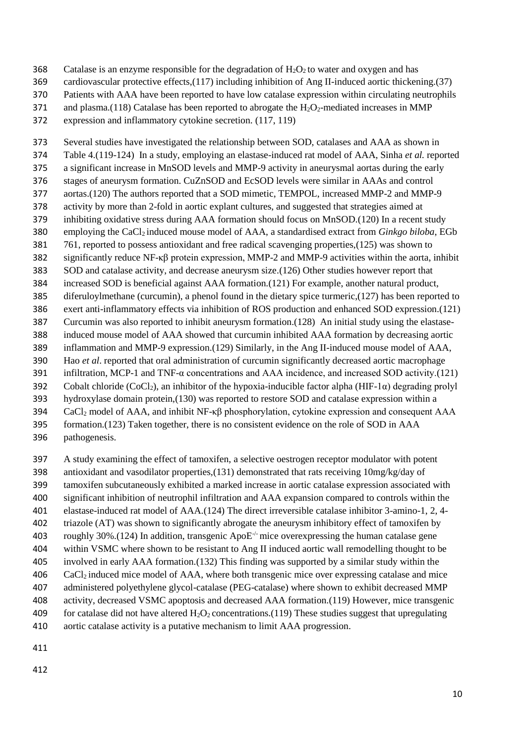- 368 Catalase is an enzyme responsible for the degradation of  $H_2O_2$  to water and oxygen and has
- cardiovascular protective effects,(117) including inhibition of Ang II-induced aortic thickening.(37)
- Patients with AAA have been reported to have low catalase expression within circulating neutrophils
- 371 and plasma.(118) Catalase has been reported to abrogate the  $H_2O_2$ -mediated increases in MMP
- expression and inflammatory cytokine secretion. (117, 119)

 Several studies have investigated the relationship between SOD, catalases and AAA as shown in Table 4.(119-124) In a study, employing an elastase-induced rat model of AAA, Sinha *et al.* reported a significant increase in MnSOD levels and MMP-9 activity in aneurysmal aortas during the early stages of aneurysm formation. CuZnSOD and EcSOD levels were similar in AAAs and control aortas.(120) The authors reported that a SOD mimetic, TEMPOL, increased MMP-2 and MMP-9 activity by more than 2-fold in aortic explant cultures, and suggested that strategies aimed at inhibiting oxidative stress during AAA formation should focus on MnSOD.(120) In a recent study employing the CaCl2 induced mouse model of AAA, a standardised extract from *Ginkgo biloba*, EGb 761, reported to possess antioxidant and free radical scavenging properties,(125) was shown to significantly reduce NF-κβ protein expression, MMP-2 and MMP-9 activities within the aorta, inhibit SOD and catalase activity, and decrease aneurysm size.(126) Other studies however report that increased SOD is beneficial against AAA formation.(121) For example, another natural product, diferuloylmethane (curcumin), a phenol found in the dietary spice turmeric,(127) has been reported to exert anti-inflammatory effects via inhibition of ROS production and enhanced SOD expression.(121) Curcumin was also reported to inhibit aneurysm formation.(128) An initial study using the elastase- induced mouse model of AAA showed that curcumin inhibited AAA formation by decreasing aortic inflammation and MMP-9 expression.(129) Similarly, in the Ang II-induced mouse model of AAA, Hao *et al*. reported that oral administration of curcumin significantly decreased aortic macrophage infiltration, MCP-1 and TNF-α concentrations and AAA incidence, and increased SOD activity.(121) 392 Cobalt chloride (CoCl<sub>2</sub>), an inhibitor of the hypoxia-inducible factor alpha (HIF-1 $\alpha$ ) degrading prolyl hydroxylase domain protein,(130) was reported to restore SOD and catalase expression within a CaCl<sup>2</sup> model of AAA, and inhibit NF-κβ phosphorylation, cytokine expression and consequent AAA formation.(123) Taken together, there is no consistent evidence on the role of SOD in AAA

- pathogenesis.
- A study examining the effect of tamoxifen, a selective oestrogen receptor modulator with potent antioxidant and vasodilator properties,(131) demonstrated that rats receiving 10mg/kg/day of tamoxifen subcutaneously exhibited a marked increase in aortic catalase expression associated with significant inhibition of neutrophil infiltration and AAA expansion compared to controls within the elastase-induced rat model of AAA.(124) The direct irreversible catalase inhibitor 3-amino-1, 2, 4- triazole (AT) was shown to significantly abrogate the aneurysm inhibitory effect of tamoxifen by 403 roughly 30%.(124) In addition, transgenic Apo $E<sup>-/-</sup>$  mice overexpressing the human catalase gene within VSMC where shown to be resistant to Ang II induced aortic wall remodelling thought to be involved in early AAA formation.(132) This finding was supported by a similar study within the CaCl2 induced mice model of AAA, where both transgenic mice over expressing catalase and mice administered polyethylene glycol-catalase (PEG-catalase) where shown to exhibit decreased MMP activity, decreased VSMC apoptosis and decreased AAA formation.(119) However, mice transgenic 409 for catalase did not have altered  $H_2O_2$  concentrations.(119) These studies suggest that upregulating
- aortic catalase activity is a putative mechanism to limit AAA progression.
- 
-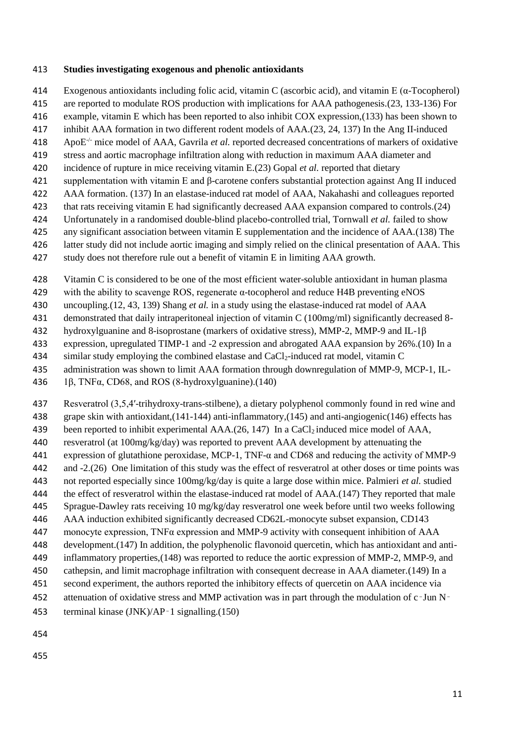#### **Studies investigating exogenous and phenolic antioxidants**

- Exogenous antioxidants including folic acid, vitamin C (ascorbic acid), and vitamin E (α-Tocopherol)
- are reported to modulate ROS production with implications for AAA pathogenesis.(23, 133-136) For
- example, vitamin E which has been reported to also inhibit COX expression,(133) has been shown to
- inhibit AAA formation in two different rodent models of AAA.(23, 24, 137) In the Ang II-induced
- ApoE -/- mice model of AAA, Gavrila *et al.* reported decreased concentrations of markers of oxidative
- stress and aortic macrophage infiltration along with reduction in maximum AAA diameter and
- incidence of rupture in mice receiving vitamin E.(23) Gopal *et al.* reported that dietary
- supplementation with vitamin E and β-carotene confers substantial protection against Ang II induced
- AAA formation. (137) In an elastase-induced rat model of AAA, Nakahashi and colleagues reported
- that rats receiving vitamin E had significantly decreased AAA expansion compared to controls.(24)
- Unfortunately in a randomised double-blind placebo-controlled trial, Tornwall *et al.* failed to show
- any significant association between vitamin E supplementation and the incidence of AAA.(138) The
- latter study did not include aortic imaging and simply relied on the clinical presentation of AAA. This
- study does not therefore rule out a benefit of vitamin E in limiting AAA growth.
- Vitamin C is considered to be one of the most efficient water-soluble antioxidant in human plasma
- with the ability to scavenge ROS, regenerate α-tocopherol and reduce H4B preventing eNOS
- uncoupling.(12, 43, 139) Shang *et al.* in a study using the elastase-induced rat model of AAA
- demonstrated that daily intraperitoneal injection of vitamin C (100mg/ml) significantly decreased 8-
- hydroxylguanine and 8-isoprostane (markers of oxidative stress), MMP-2, MMP-9 and IL-1β
- expression, upregulated TIMP-1 and -2 expression and abrogated AAA expansion by 26%.(10) In a
- 434 similar study employing the combined elastase and CaCl<sub>2</sub>-induced rat model, vitamin C
- administration was shown to limit AAA formation through downregulation of MMP-9, MCP-1, IL-
- 1β, TNFα, CD68, and ROS (8-hydroxylguanine).(140)
- Resveratrol (3,5,4′-trihydroxy-trans-stilbene), a dietary polyphenol commonly found in red wine and grape skin with antioxidant,(141-144) anti-inflammatory,(145) and anti-angiogenic(146) effects has
- 439 been reported to inhibit experimental AAA.(26, 147) In a CaCl<sub>2</sub> induced mice model of AAA, resveratrol (at 100mg/kg/day) was reported to prevent AAA development by attenuating the
- 441 expression of glutathione peroxidase, MCP-1, TNF- $\alpha$  and CD68 and reducing the activity of MMP-9
- and -2.(26) One limitation of this study was the effect of resveratrol at other doses or time points was
- not reported especially since 100mg/kg/day is quite a large dose within mice. Palmieri *et al.* studied
- the effect of resveratrol within the elastase-induced rat model of AAA.(147) They reported that male
- Sprague-Dawley rats receiving 10 mg/kg/day resveratrol one week before until two weeks following
- AAA induction exhibited significantly decreased CD62L-monocyte subset expansion, CD143
- 447 monocyte expression, TNF $\alpha$  expression and MMP-9 activity with consequent inhibition of AAA
- development.(147) In addition, the polyphenolic flavonoid quercetin, which has antioxidant and anti-
- inflammatory properties,(148) was reported to reduce the aortic expression of MMP-2, MMP-9, and
- cathepsin, and limit macrophage infiltration with consequent decrease in AAA diameter.(149) In a
- second experiment, the authors reported the inhibitory effects of quercetin on AAA incidence via 452 attenuation of oxidative stress and MMP activation was in part through the modulation of c–Jun N–
- terminal kinase (JNK)/AP‑1 signalling.(150)
- 
-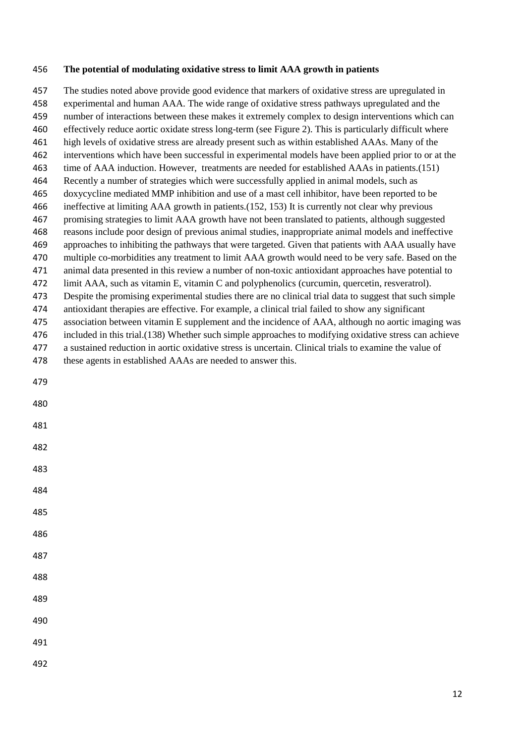#### **The potential of modulating oxidative stress to limit AAA growth in patients**

 The studies noted above provide good evidence that markers of oxidative stress are upregulated in experimental and human AAA. The wide range of oxidative stress pathways upregulated and the number of interactions between these makes it extremely complex to design interventions which can effectively reduce aortic oxidate stress long-term (see Figure 2). This is particularly difficult where high levels of oxidative stress are already present such as within established AAAs. Many of the interventions which have been successful in experimental models have been applied prior to or at the time of AAA induction. However, treatments are needed for established AAAs in patients.(151) Recently a number of strategies which were successfully applied in animal models, such as doxycycline mediated MMP inhibition and use of a mast cell inhibitor, have been reported to be ineffective at limiting AAA growth in patients.(152, 153) It is currently not clear why previous promising strategies to limit AAA growth have not been translated to patients, although suggested reasons include poor design of previous animal studies, inappropriate animal models and ineffective approaches to inhibiting the pathways that were targeted. Given that patients with AAA usually have multiple co-morbidities any treatment to limit AAA growth would need to be very safe. Based on the animal data presented in this review a number of non-toxic antioxidant approaches have potential to limit AAA, such as vitamin E, vitamin C and polyphenolics (curcumin, quercetin, resveratrol). Despite the promising experimental studies there are no clinical trial data to suggest that such simple antioxidant therapies are effective. For example, a clinical trial failed to show any significant association between vitamin E supplement and the incidence of AAA, although no aortic imaging was included in this trial.(138) Whether such simple approaches to modifying oxidative stress can achieve a sustained reduction in aortic oxidative stress is uncertain. Clinical trials to examine the value of these agents in established AAAs are needed to answer this.

- 
- 
- 
- 
- 
- 
- 
- 
- 
- 
- 

- 
- 
-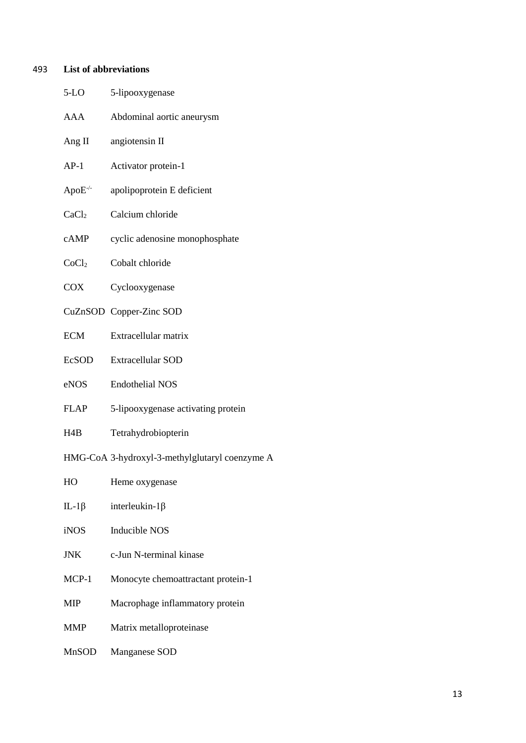# 493 **List of abbreviations**

| $5-LO$            | 5-lipooxygenase                                |
|-------------------|------------------------------------------------|
| AAA               | Abdominal aortic aneurysm                      |
| Ang $II$          | angiotensin II                                 |
| $AP-1$            | Activator protein-1                            |
| $ApoE^{-/-}$      | apolipoprotein E deficient                     |
| CaCl <sub>2</sub> | Calcium chloride                               |
| cAMP              | cyclic adenosine monophosphate                 |
| CoCl <sub>2</sub> | Cobalt chloride                                |
| <b>COX</b>        | Cyclooxygenase                                 |
|                   | CuZnSOD Copper-Zinc SOD                        |
| <b>ECM</b>        | Extracellular matrix                           |
| <b>EcSOD</b>      | <b>Extracellular SOD</b>                       |
| eNOS              | <b>Endothelial NOS</b>                         |
| <b>FLAP</b>       | 5-lipooxygenase activating protein             |
| H4B               | Tetrahydrobiopterin                            |
|                   | HMG-CoA 3-hydroxyl-3-methylglutaryl coenzyme A |
| HO                | Heme oxygenase                                 |
| IL-1 $\beta$      | interleukin- $1\beta$                          |
| <b>iNOS</b>       | Inducible NOS                                  |
| <b>JNK</b>        | c-Jun N-terminal kinase                        |
| MCP-1             | Monocyte chemoattractant protein-1             |
| MIP               | Macrophage inflammatory protein                |
| <b>MMP</b>        | Matrix metalloproteinase                       |
| MnSOD             | Manganese SOD                                  |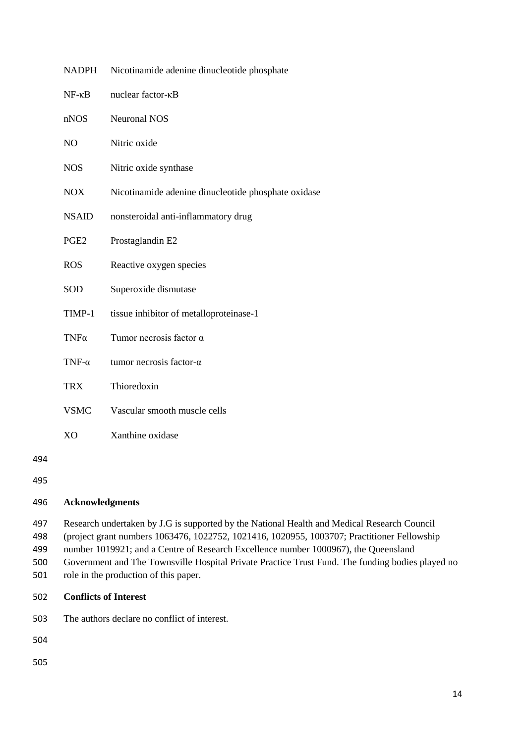| <b>NADPH</b>      | Nicotinamide adenine dinucleotide phosphate         |
|-------------------|-----------------------------------------------------|
| $NF$ - $\kappa B$ | nuclear factor-KB                                   |
| nNOS              | <b>Neuronal NOS</b>                                 |
| NO                | Nitric oxide                                        |
| <b>NOS</b>        | Nitric oxide synthase                               |
| <b>NOX</b>        | Nicotinamide adenine dinucleotide phosphate oxidase |
| <b>NSAID</b>      | nonsteroidal anti-inflammatory drug                 |
| PGE <sub>2</sub>  | Prostaglandin E2                                    |
| <b>ROS</b>        | Reactive oxygen species                             |
| <b>SOD</b>        | Superoxide dismutase                                |
| TIMP-1            | tissue inhibitor of metalloproteinase-1             |
| $TNF\alpha$       | Tumor necrosis factor $\alpha$                      |
| TNF- $\alpha$     | tumor necrosis factor- $\alpha$                     |
| <b>TRX</b>        | Thioredoxin                                         |
| <b>VSMC</b>       | Vascular smooth muscle cells                        |
| X <sub>O</sub>    | Xanthine oxidase                                    |
|                   |                                                     |

494

### 496 **Acknowledgments**

497 Research undertaken by J.G is supported by the National Health and Medical Research Council

498 (project grant numbers 1063476, 1022752, 1021416, 1020955, 1003707; Practitioner Fellowship

499 number 1019921; and a Centre of Research Excellence number 1000967), the Queensland

500 Government and The Townsville Hospital Private Practice Trust Fund. The funding bodies played no

501 role in the production of this paper.

### 502 **Conflicts of Interest**

503 The authors declare no conflict of interest.

504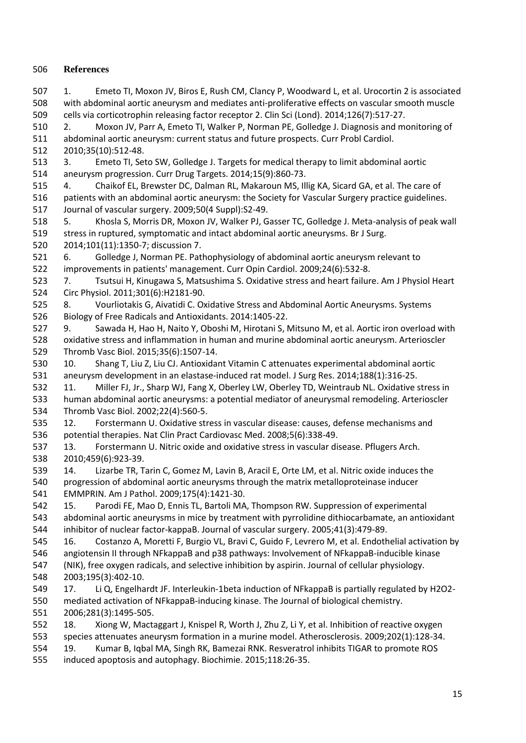### **References**

 1. Emeto TI, Moxon JV, Biros E, Rush CM, Clancy P, Woodward L, et al. Urocortin 2 is associated with abdominal aortic aneurysm and mediates anti-proliferative effects on vascular smooth muscle cells via corticotrophin releasing factor receptor 2. Clin Sci (Lond). 2014;126(7):517-27.

 2. Moxon JV, Parr A, Emeto TI, Walker P, Norman PE, Golledge J. Diagnosis and monitoring of abdominal aortic aneurysm: current status and future prospects. Curr Probl Cardiol. 2010;35(10):512-48.

 3. Emeto TI, Seto SW, Golledge J. Targets for medical therapy to limit abdominal aortic aneurysm progression. Curr Drug Targets. 2014;15(9):860-73.

- 4. Chaikof EL, Brewster DC, Dalman RL, Makaroun MS, Illig KA, Sicard GA, et al. The care of patients with an abdominal aortic aneurysm: the Society for Vascular Surgery practice guidelines. Journal of vascular surgery. 2009;50(4 Suppl):S2-49.
- 5. Khosla S, Morris DR, Moxon JV, Walker PJ, Gasser TC, Golledge J. Meta-analysis of peak wall stress in ruptured, symptomatic and intact abdominal aortic aneurysms. Br J Surg.

2014;101(11):1350-7; discussion 7.

 6. Golledge J, Norman PE. Pathophysiology of abdominal aortic aneurysm relevant to improvements in patients' management. Curr Opin Cardiol. 2009;24(6):532-8.

 7. Tsutsui H, Kinugawa S, Matsushima S. Oxidative stress and heart failure. Am J Physiol Heart Circ Physiol. 2011;301(6):H2181-90.

 8. Vourliotakis G, Aivatidi C. Oxidative Stress and Abdominal Aortic Aneurysms. Systems Biology of Free Radicals and Antioxidants. 2014:1405-22.

 9. Sawada H, Hao H, Naito Y, Oboshi M, Hirotani S, Mitsuno M, et al. Aortic iron overload with oxidative stress and inflammation in human and murine abdominal aortic aneurysm. Arterioscler Thromb Vasc Biol. 2015;35(6):1507-14.

 10. Shang T, Liu Z, Liu CJ. Antioxidant Vitamin C attenuates experimental abdominal aortic aneurysm development in an elastase-induced rat model. J Surg Res. 2014;188(1):316-25.

 11. Miller FJ, Jr., Sharp WJ, Fang X, Oberley LW, Oberley TD, Weintraub NL. Oxidative stress in human abdominal aortic aneurysms: a potential mediator of aneurysmal remodeling. Arterioscler Thromb Vasc Biol. 2002;22(4):560-5.

 12. Forstermann U. Oxidative stress in vascular disease: causes, defense mechanisms and potential therapies. Nat Clin Pract Cardiovasc Med. 2008;5(6):338-49.

- 13. Forstermann U. Nitric oxide and oxidative stress in vascular disease. Pflugers Arch. 2010;459(6):923-39.
- 14. Lizarbe TR, Tarin C, Gomez M, Lavin B, Aracil E, Orte LM, et al. Nitric oxide induces the progression of abdominal aortic aneurysms through the matrix metalloproteinase inducer EMMPRIN. Am J Pathol. 2009;175(4):1421-30.

 15. Parodi FE, Mao D, Ennis TL, Bartoli MA, Thompson RW. Suppression of experimental abdominal aortic aneurysms in mice by treatment with pyrrolidine dithiocarbamate, an antioxidant

inhibitor of nuclear factor-kappaB. Journal of vascular surgery. 2005;41(3):479-89.

 16. Costanzo A, Moretti F, Burgio VL, Bravi C, Guido F, Levrero M, et al. Endothelial activation by angiotensin II through NFkappaB and p38 pathways: Involvement of NFkappaB-inducible kinase

 (NIK), free oxygen radicals, and selective inhibition by aspirin. Journal of cellular physiology. 2003;195(3):402-10.

- 17. Li Q, Engelhardt JF. Interleukin-1beta induction of NFkappaB is partially regulated by H2O2- mediated activation of NFkappaB-inducing kinase. The Journal of biological chemistry.
- 2006;281(3):1495-505. 18. Xiong W, Mactaggart J, Knispel R, Worth J, Zhu Z, Li Y, et al. Inhibition of reactive oxygen species attenuates aneurysm formation in a murine model. Atherosclerosis. 2009;202(1):128-34. 19. Kumar B, Iqbal MA, Singh RK, Bamezai RNK. Resveratrol inhibits TIGAR to promote ROS
- induced apoptosis and autophagy. Biochimie. 2015;118:26-35.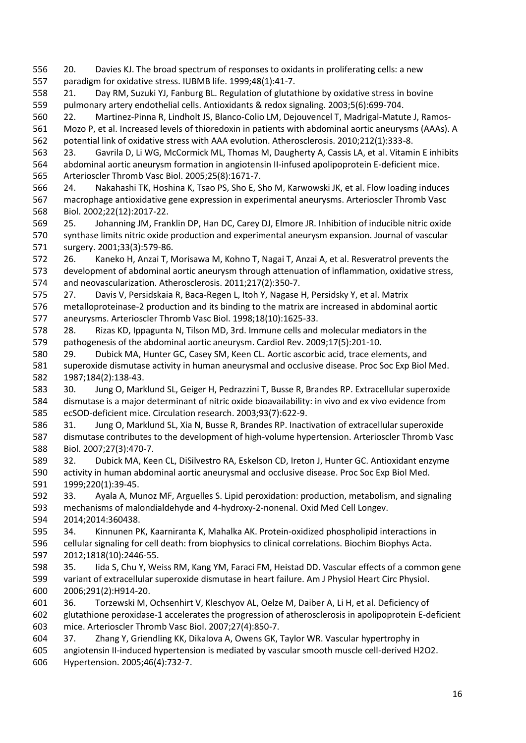20. Davies KJ. The broad spectrum of responses to oxidants in proliferating cells: a new paradigm for oxidative stress. IUBMB life. 1999;48(1):41-7.

 21. Day RM, Suzuki YJ, Fanburg BL. Regulation of glutathione by oxidative stress in bovine pulmonary artery endothelial cells. Antioxidants & redox signaling. 2003;5(6):699-704.

 22. Martinez-Pinna R, Lindholt JS, Blanco-Colio LM, Dejouvencel T, Madrigal-Matute J, Ramos- Mozo P, et al. Increased levels of thioredoxin in patients with abdominal aortic aneurysms (AAAs). A potential link of oxidative stress with AAA evolution. Atherosclerosis. 2010;212(1):333-8.

 23. Gavrila D, Li WG, McCormick ML, Thomas M, Daugherty A, Cassis LA, et al. Vitamin E inhibits abdominal aortic aneurysm formation in angiotensin II-infused apolipoprotein E-deficient mice. Arterioscler Thromb Vasc Biol. 2005;25(8):1671-7.

 24. Nakahashi TK, Hoshina K, Tsao PS, Sho E, Sho M, Karwowski JK, et al. Flow loading induces macrophage antioxidative gene expression in experimental aneurysms. Arterioscler Thromb Vasc Biol. 2002;22(12):2017-22.

 25. Johanning JM, Franklin DP, Han DC, Carey DJ, Elmore JR. Inhibition of inducible nitric oxide synthase limits nitric oxide production and experimental aneurysm expansion. Journal of vascular surgery. 2001;33(3):579-86.

 26. Kaneko H, Anzai T, Morisawa M, Kohno T, Nagai T, Anzai A, et al. Resveratrol prevents the development of abdominal aortic aneurysm through attenuation of inflammation, oxidative stress, and neovascularization. Atherosclerosis. 2011;217(2):350-7.

 27. Davis V, Persidskaia R, Baca-Regen L, Itoh Y, Nagase H, Persidsky Y, et al. Matrix metalloproteinase-2 production and its binding to the matrix are increased in abdominal aortic aneurysms. Arterioscler Thromb Vasc Biol. 1998;18(10):1625-33.

 28. Rizas KD, Ippagunta N, Tilson MD, 3rd. Immune cells and molecular mediators in the pathogenesis of the abdominal aortic aneurysm. Cardiol Rev. 2009;17(5):201-10.

 29. Dubick MA, Hunter GC, Casey SM, Keen CL. Aortic ascorbic acid, trace elements, and superoxide dismutase activity in human aneurysmal and occlusive disease. Proc Soc Exp Biol Med. 1987;184(2):138-43.

 30. Jung O, Marklund SL, Geiger H, Pedrazzini T, Busse R, Brandes RP. Extracellular superoxide dismutase is a major determinant of nitric oxide bioavailability: in vivo and ex vivo evidence from ecSOD-deficient mice. Circulation research. 2003;93(7):622-9.

 31. Jung O, Marklund SL, Xia N, Busse R, Brandes RP. Inactivation of extracellular superoxide dismutase contributes to the development of high-volume hypertension. Arterioscler Thromb Vasc Biol. 2007;27(3):470-7.

 32. Dubick MA, Keen CL, DiSilvestro RA, Eskelson CD, Ireton J, Hunter GC. Antioxidant enzyme activity in human abdominal aortic aneurysmal and occlusive disease. Proc Soc Exp Biol Med. 1999;220(1):39-45.

 33. Ayala A, Munoz MF, Arguelles S. Lipid peroxidation: production, metabolism, and signaling mechanisms of malondialdehyde and 4-hydroxy-2-nonenal. Oxid Med Cell Longev. 2014;2014:360438.

 34. Kinnunen PK, Kaarniranta K, Mahalka AK. Protein-oxidized phospholipid interactions in cellular signaling for cell death: from biophysics to clinical correlations. Biochim Biophys Acta. 2012;1818(10):2446-55.

 35. Iida S, Chu Y, Weiss RM, Kang YM, Faraci FM, Heistad DD. Vascular effects of a common gene variant of extracellular superoxide dismutase in heart failure. Am J Physiol Heart Circ Physiol. 2006;291(2):H914-20.

 36. Torzewski M, Ochsenhirt V, Kleschyov AL, Oelze M, Daiber A, Li H, et al. Deficiency of glutathione peroxidase-1 accelerates the progression of atherosclerosis in apolipoprotein E-deficient mice. Arterioscler Thromb Vasc Biol. 2007;27(4):850-7.

37. Zhang Y, Griendling KK, Dikalova A, Owens GK, Taylor WR. Vascular hypertrophy in

angiotensin II-induced hypertension is mediated by vascular smooth muscle cell-derived H2O2.

Hypertension. 2005;46(4):732-7.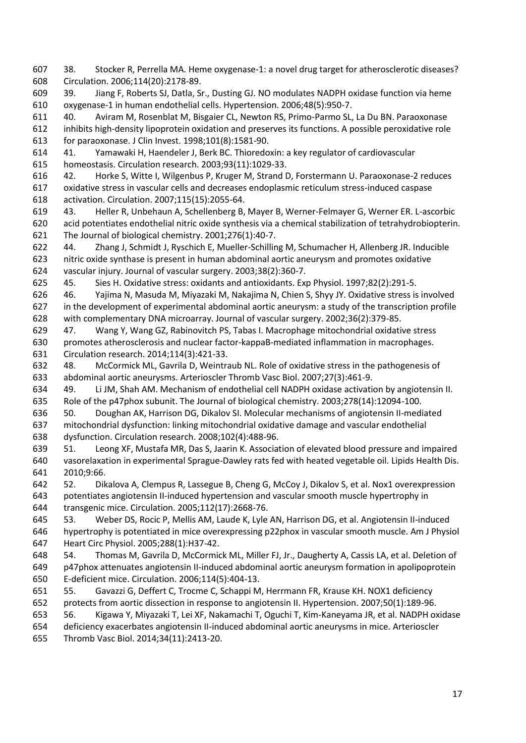- 38. Stocker R, Perrella MA. Heme oxygenase-1: a novel drug target for atherosclerotic diseases? Circulation. 2006;114(20):2178-89.
- 39. Jiang F, Roberts SJ, Datla, Sr., Dusting GJ. NO modulates NADPH oxidase function via heme oxygenase-1 in human endothelial cells. Hypertension. 2006;48(5):950-7.
- 40. Aviram M, Rosenblat M, Bisgaier CL, Newton RS, Primo-Parmo SL, La Du BN. Paraoxonase inhibits high-density lipoprotein oxidation and preserves its functions. A possible peroxidative role for paraoxonase. J Clin Invest. 1998;101(8):1581-90.
- 41. Yamawaki H, Haendeler J, Berk BC. Thioredoxin: a key regulator of cardiovascular homeostasis. Circulation research. 2003;93(11):1029-33.
- 42. Horke S, Witte I, Wilgenbus P, Kruger M, Strand D, Forstermann U. Paraoxonase-2 reduces oxidative stress in vascular cells and decreases endoplasmic reticulum stress-induced caspase activation. Circulation. 2007;115(15):2055-64.
- 43. Heller R, Unbehaun A, Schellenberg B, Mayer B, Werner-Felmayer G, Werner ER. L-ascorbic acid potentiates endothelial nitric oxide synthesis via a chemical stabilization of tetrahydrobiopterin. The Journal of biological chemistry. 2001;276(1):40-7.
- 44. Zhang J, Schmidt J, Ryschich E, Mueller-Schilling M, Schumacher H, Allenberg JR. Inducible nitric oxide synthase is present in human abdominal aortic aneurysm and promotes oxidative vascular injury. Journal of vascular surgery. 2003;38(2):360-7.
- 45. Sies H. Oxidative stress: oxidants and antioxidants. Exp Physiol. 1997;82(2):291-5.
- 46. Yajima N, Masuda M, Miyazaki M, Nakajima N, Chien S, Shyy JY. Oxidative stress is involved in the development of experimental abdominal aortic aneurysm: a study of the transcription profile with complementary DNA microarray. Journal of vascular surgery. 2002;36(2):379-85.
- 47. Wang Y, Wang GZ, Rabinovitch PS, Tabas I. Macrophage mitochondrial oxidative stress promotes atherosclerosis and nuclear factor-kappaB-mediated inflammation in macrophages. Circulation research. 2014;114(3):421-33.
- 48. McCormick ML, Gavrila D, Weintraub NL. Role of oxidative stress in the pathogenesis of abdominal aortic aneurysms. Arterioscler Thromb Vasc Biol. 2007;27(3):461-9.
- 49. Li JM, Shah AM. Mechanism of endothelial cell NADPH oxidase activation by angiotensin II. Role of the p47phox subunit. The Journal of biological chemistry. 2003;278(14):12094-100.
- 50. Doughan AK, Harrison DG, Dikalov SI. Molecular mechanisms of angiotensin II-mediated mitochondrial dysfunction: linking mitochondrial oxidative damage and vascular endothelial dysfunction. Circulation research. 2008;102(4):488-96.
- 51. Leong XF, Mustafa MR, Das S, Jaarin K. Association of elevated blood pressure and impaired vasorelaxation in experimental Sprague-Dawley rats fed with heated vegetable oil. Lipids Health Dis. 2010;9:66.
- 52. Dikalova A, Clempus R, Lassegue B, Cheng G, McCoy J, Dikalov S, et al. Nox1 overexpression potentiates angiotensin II-induced hypertension and vascular smooth muscle hypertrophy in transgenic mice. Circulation. 2005;112(17):2668-76.
- 53. Weber DS, Rocic P, Mellis AM, Laude K, Lyle AN, Harrison DG, et al. Angiotensin II-induced hypertrophy is potentiated in mice overexpressing p22phox in vascular smooth muscle. Am J Physiol Heart Circ Physiol. 2005;288(1):H37-42.
- 54. Thomas M, Gavrila D, McCormick ML, Miller FJ, Jr., Daugherty A, Cassis LA, et al. Deletion of p47phox attenuates angiotensin II-induced abdominal aortic aneurysm formation in apolipoprotein E-deficient mice. Circulation. 2006;114(5):404-13.
- 55. Gavazzi G, Deffert C, Trocme C, Schappi M, Herrmann FR, Krause KH. NOX1 deficiency protects from aortic dissection in response to angiotensin II. Hypertension. 2007;50(1):189-96.
- 56. Kigawa Y, Miyazaki T, Lei XF, Nakamachi T, Oguchi T, Kim-Kaneyama JR, et al. NADPH oxidase
- deficiency exacerbates angiotensin II-induced abdominal aortic aneurysms in mice. Arterioscler Thromb Vasc Biol. 2014;34(11):2413-20.
-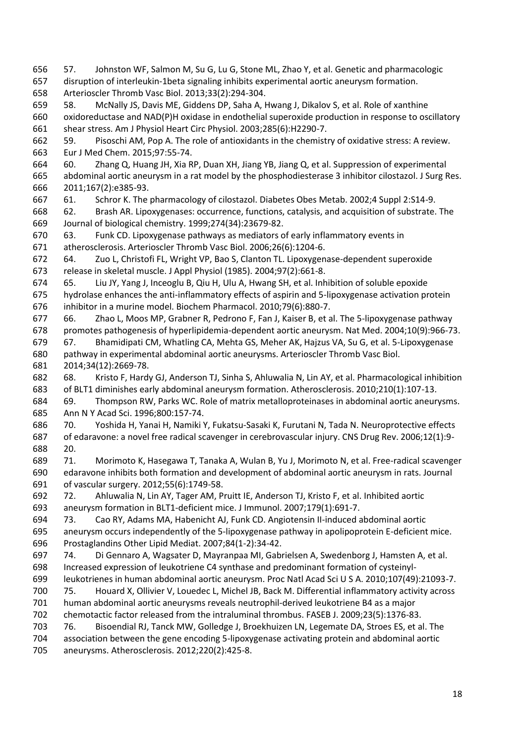57. Johnston WF, Salmon M, Su G, Lu G, Stone ML, Zhao Y, et al. Genetic and pharmacologic disruption of interleukin-1beta signaling inhibits experimental aortic aneurysm formation. Arterioscler Thromb Vasc Biol. 2013;33(2):294-304.

 58. McNally JS, Davis ME, Giddens DP, Saha A, Hwang J, Dikalov S, et al. Role of xanthine oxidoreductase and NAD(P)H oxidase in endothelial superoxide production in response to oscillatory shear stress. Am J Physiol Heart Circ Physiol. 2003;285(6):H2290-7.

 59. Pisoschi AM, Pop A. The role of antioxidants in the chemistry of oxidative stress: A review. Eur J Med Chem. 2015;97:55-74.

 60. Zhang Q, Huang JH, Xia RP, Duan XH, Jiang YB, Jiang Q, et al. Suppression of experimental abdominal aortic aneurysm in a rat model by the phosphodiesterase 3 inhibitor cilostazol. J Surg Res. 2011;167(2):e385-93.

61. Schror K. The pharmacology of cilostazol. Diabetes Obes Metab. 2002;4 Suppl 2:S14-9.

 62. Brash AR. Lipoxygenases: occurrence, functions, catalysis, and acquisition of substrate. The Journal of biological chemistry. 1999;274(34):23679-82.

 63. Funk CD. Lipoxygenase pathways as mediators of early inflammatory events in atherosclerosis. Arterioscler Thromb Vasc Biol. 2006;26(6):1204-6.

 64. Zuo L, Christofi FL, Wright VP, Bao S, Clanton TL. Lipoxygenase-dependent superoxide release in skeletal muscle. J Appl Physiol (1985). 2004;97(2):661-8.

 65. Liu JY, Yang J, Inceoglu B, Qiu H, Ulu A, Hwang SH, et al. Inhibition of soluble epoxide hydrolase enhances the anti-inflammatory effects of aspirin and 5-lipoxygenase activation protein inhibitor in a murine model. Biochem Pharmacol. 2010;79(6):880-7.

 66. Zhao L, Moos MP, Grabner R, Pedrono F, Fan J, Kaiser B, et al. The 5-lipoxygenase pathway promotes pathogenesis of hyperlipidemia-dependent aortic aneurysm. Nat Med. 2004;10(9):966-73. 67. Bhamidipati CM, Whatling CA, Mehta GS, Meher AK, Hajzus VA, Su G, et al. 5-Lipoxygenase

 pathway in experimental abdominal aortic aneurysms. Arterioscler Thromb Vasc Biol. 2014;34(12):2669-78.

 68. Kristo F, Hardy GJ, Anderson TJ, Sinha S, Ahluwalia N, Lin AY, et al. Pharmacological inhibition of BLT1 diminishes early abdominal aneurysm formation. Atherosclerosis. 2010;210(1):107-13.

 69. Thompson RW, Parks WC. Role of matrix metalloproteinases in abdominal aortic aneurysms. Ann N Y Acad Sci. 1996;800:157-74.

 70. Yoshida H, Yanai H, Namiki Y, Fukatsu-Sasaki K, Furutani N, Tada N. Neuroprotective effects of edaravone: a novel free radical scavenger in cerebrovascular injury. CNS Drug Rev. 2006;12(1):9- 20.

 71. Morimoto K, Hasegawa T, Tanaka A, Wulan B, Yu J, Morimoto N, et al. Free-radical scavenger edaravone inhibits both formation and development of abdominal aortic aneurysm in rats. Journal of vascular surgery. 2012;55(6):1749-58.

 72. Ahluwalia N, Lin AY, Tager AM, Pruitt IE, Anderson TJ, Kristo F, et al. Inhibited aortic aneurysm formation in BLT1-deficient mice. J Immunol. 2007;179(1):691-7.

 73. Cao RY, Adams MA, Habenicht AJ, Funk CD. Angiotensin II-induced abdominal aortic aneurysm occurs independently of the 5-lipoxygenase pathway in apolipoprotein E-deficient mice. Prostaglandins Other Lipid Mediat. 2007;84(1-2):34-42.

 74. Di Gennaro A, Wagsater D, Mayranpaa MI, Gabrielsen A, Swedenborg J, Hamsten A, et al. Increased expression of leukotriene C4 synthase and predominant formation of cysteinyl-

leukotrienes in human abdominal aortic aneurysm. Proc Natl Acad Sci U S A. 2010;107(49):21093-7.

 75. Houard X, Ollivier V, Louedec L, Michel JB, Back M. Differential inflammatory activity across human abdominal aortic aneurysms reveals neutrophil-derived leukotriene B4 as a major

chemotactic factor released from the intraluminal thrombus. FASEB J. 2009;23(5):1376-83.

 76. Bisoendial RJ, Tanck MW, Golledge J, Broekhuizen LN, Legemate DA, Stroes ES, et al. The association between the gene encoding 5-lipoxygenase activating protein and abdominal aortic

aneurysms. Atherosclerosis. 2012;220(2):425-8.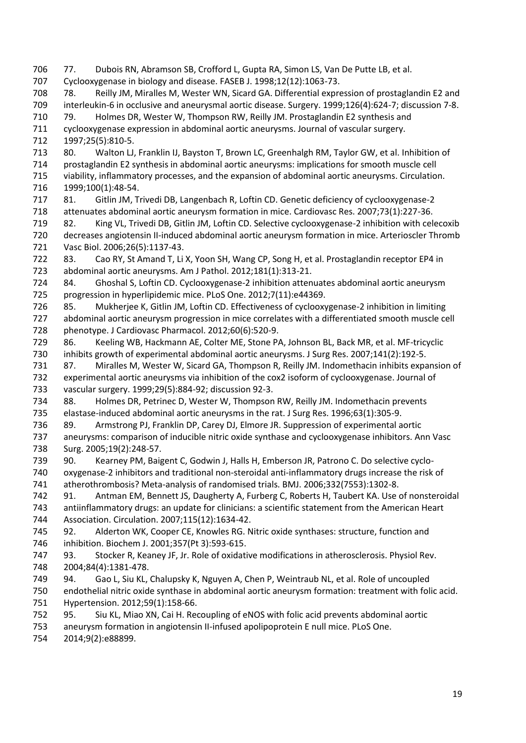77. Dubois RN, Abramson SB, Crofford L, Gupta RA, Simon LS, Van De Putte LB, et al. Cyclooxygenase in biology and disease. FASEB J. 1998;12(12):1063-73. 78. Reilly JM, Miralles M, Wester WN, Sicard GA. Differential expression of prostaglandin E2 and interleukin-6 in occlusive and aneurysmal aortic disease. Surgery. 1999;126(4):624-7; discussion 7-8. 79. Holmes DR, Wester W, Thompson RW, Reilly JM. Prostaglandin E2 synthesis and cyclooxygenase expression in abdominal aortic aneurysms. Journal of vascular surgery. 1997;25(5):810-5. 713 80. Walton LJ, Franklin IJ, Bayston T, Brown LC, Greenhalgh RM, Taylor GW, et al. Inhibition of prostaglandin E2 synthesis in abdominal aortic aneurysms: implications for smooth muscle cell viability, inflammatory processes, and the expansion of abdominal aortic aneurysms. Circulation. 1999;100(1):48-54. 81. Gitlin JM, Trivedi DB, Langenbach R, Loftin CD. Genetic deficiency of cyclooxygenase-2 attenuates abdominal aortic aneurysm formation in mice. Cardiovasc Res. 2007;73(1):227-36. 82. King VL, Trivedi DB, Gitlin JM, Loftin CD. Selective cyclooxygenase-2 inhibition with celecoxib decreases angiotensin II-induced abdominal aortic aneurysm formation in mice. Arterioscler Thromb Vasc Biol. 2006;26(5):1137-43. 83. Cao RY, St Amand T, Li X, Yoon SH, Wang CP, Song H, et al. Prostaglandin receptor EP4 in abdominal aortic aneurysms. Am J Pathol. 2012;181(1):313-21. 84. Ghoshal S, Loftin CD. Cyclooxygenase-2 inhibition attenuates abdominal aortic aneurysm progression in hyperlipidemic mice. PLoS One. 2012;7(11):e44369. 85. Mukherjee K, Gitlin JM, Loftin CD. Effectiveness of cyclooxygenase-2 inhibition in limiting abdominal aortic aneurysm progression in mice correlates with a differentiated smooth muscle cell phenotype. J Cardiovasc Pharmacol. 2012;60(6):520-9. 86. Keeling WB, Hackmann AE, Colter ME, Stone PA, Johnson BL, Back MR, et al. MF-tricyclic inhibits growth of experimental abdominal aortic aneurysms. J Surg Res. 2007;141(2):192-5. 87. Miralles M, Wester W, Sicard GA, Thompson R, Reilly JM. Indomethacin inhibits expansion of experimental aortic aneurysms via inhibition of the cox2 isoform of cyclooxygenase. Journal of vascular surgery. 1999;29(5):884-92; discussion 92-3. 88. Holmes DR, Petrinec D, Wester W, Thompson RW, Reilly JM. Indomethacin prevents elastase-induced abdominal aortic aneurysms in the rat. J Surg Res. 1996;63(1):305-9. 89. Armstrong PJ, Franklin DP, Carey DJ, Elmore JR. Suppression of experimental aortic aneurysms: comparison of inducible nitric oxide synthase and cyclooxygenase inhibitors. Ann Vasc Surg. 2005;19(2):248-57. 90. Kearney PM, Baigent C, Godwin J, Halls H, Emberson JR, Patrono C. Do selective cyclo- oxygenase-2 inhibitors and traditional non-steroidal anti-inflammatory drugs increase the risk of atherothrombosis? Meta-analysis of randomised trials. BMJ. 2006;332(7553):1302-8. 91. Antman EM, Bennett JS, Daugherty A, Furberg C, Roberts H, Taubert KA. Use of nonsteroidal antiinflammatory drugs: an update for clinicians: a scientific statement from the American Heart Association. Circulation. 2007;115(12):1634-42. 92. Alderton WK, Cooper CE, Knowles RG. Nitric oxide synthases: structure, function and inhibition. Biochem J. 2001;357(Pt 3):593-615. 93. Stocker R, Keaney JF, Jr. Role of oxidative modifications in atherosclerosis. Physiol Rev. 2004;84(4):1381-478. 94. Gao L, Siu KL, Chalupsky K, Nguyen A, Chen P, Weintraub NL, et al. Role of uncoupled endothelial nitric oxide synthase in abdominal aortic aneurysm formation: treatment with folic acid. Hypertension. 2012;59(1):158-66. 95. Siu KL, Miao XN, Cai H. Recoupling of eNOS with folic acid prevents abdominal aortic aneurysm formation in angiotensin II-infused apolipoprotein E null mice. PLoS One. 2014;9(2):e88899.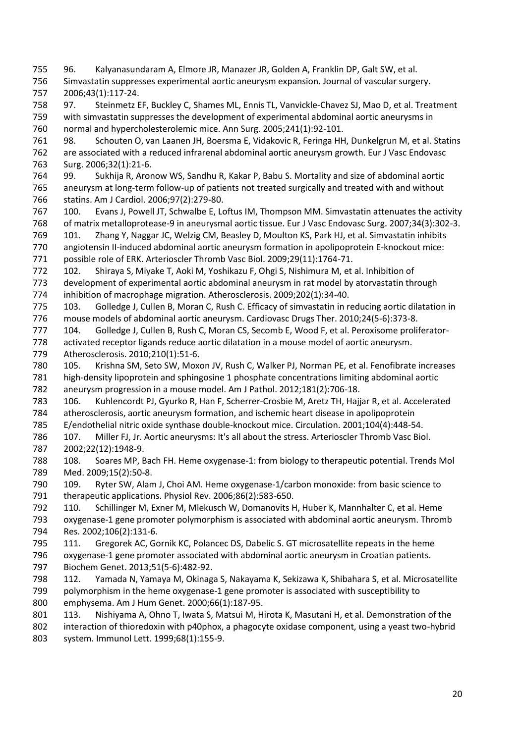96. Kalyanasundaram A, Elmore JR, Manazer JR, Golden A, Franklin DP, Galt SW, et al. Simvastatin suppresses experimental aortic aneurysm expansion. Journal of vascular surgery. 2006;43(1):117-24.

- 97. Steinmetz EF, Buckley C, Shames ML, Ennis TL, Vanvickle-Chavez SJ, Mao D, et al. Treatment with simvastatin suppresses the development of experimental abdominal aortic aneurysms in normal and hypercholesterolemic mice. Ann Surg. 2005;241(1):92-101.
- 98. Schouten O, van Laanen JH, Boersma E, Vidakovic R, Feringa HH, Dunkelgrun M, et al. Statins are associated with a reduced infrarenal abdominal aortic aneurysm growth. Eur J Vasc Endovasc Surg. 2006;32(1):21-6.
- 99. Sukhija R, Aronow WS, Sandhu R, Kakar P, Babu S. Mortality and size of abdominal aortic aneurysm at long-term follow-up of patients not treated surgically and treated with and without statins. Am J Cardiol. 2006;97(2):279-80.
- 100. Evans J, Powell JT, Schwalbe E, Loftus IM, Thompson MM. Simvastatin attenuates the activity of matrix metalloprotease-9 in aneurysmal aortic tissue. Eur J Vasc Endovasc Surg. 2007;34(3):302-3.
- 101. Zhang Y, Naggar JC, Welzig CM, Beasley D, Moulton KS, Park HJ, et al. Simvastatin inhibits angiotensin II-induced abdominal aortic aneurysm formation in apolipoprotein E-knockout mice: possible role of ERK. Arterioscler Thromb Vasc Biol. 2009;29(11):1764-71.
- 102. Shiraya S, Miyake T, Aoki M, Yoshikazu F, Ohgi S, Nishimura M, et al. Inhibition of development of experimental aortic abdominal aneurysm in rat model by atorvastatin through inhibition of macrophage migration. Atherosclerosis. 2009;202(1):34-40.
- 103. Golledge J, Cullen B, Moran C, Rush C. Efficacy of simvastatin in reducing aortic dilatation in mouse models of abdominal aortic aneurysm. Cardiovasc Drugs Ther. 2010;24(5-6):373-8.
- 104. Golledge J, Cullen B, Rush C, Moran CS, Secomb E, Wood F, et al. Peroxisome proliferator- activated receptor ligands reduce aortic dilatation in a mouse model of aortic aneurysm. Atherosclerosis. 2010;210(1):51-6.
- 105. Krishna SM, Seto SW, Moxon JV, Rush C, Walker PJ, Norman PE, et al. Fenofibrate increases high-density lipoprotein and sphingosine 1 phosphate concentrations limiting abdominal aortic
- aneurysm progression in a mouse model. Am J Pathol. 2012;181(2):706-18.
- 106. Kuhlencordt PJ, Gyurko R, Han F, Scherrer-Crosbie M, Aretz TH, Hajjar R, et al. Accelerated atherosclerosis, aortic aneurysm formation, and ischemic heart disease in apolipoprotein
- E/endothelial nitric oxide synthase double-knockout mice. Circulation. 2001;104(4):448-54.
- 107. Miller FJ, Jr. Aortic aneurysms: It's all about the stress. Arterioscler Thromb Vasc Biol. 2002;22(12):1948-9.
- 108. Soares MP, Bach FH. Heme oxygenase-1: from biology to therapeutic potential. Trends Mol Med. 2009;15(2):50-8.
- 109. Ryter SW, Alam J, Choi AM. Heme oxygenase-1/carbon monoxide: from basic science to therapeutic applications. Physiol Rev. 2006;86(2):583-650.
- 110. Schillinger M, Exner M, Mlekusch W, Domanovits H, Huber K, Mannhalter C, et al. Heme
- oxygenase-1 gene promoter polymorphism is associated with abdominal aortic aneurysm. Thromb Res. 2002;106(2):131-6.
- 111. Gregorek AC, Gornik KC, Polancec DS, Dabelic S. GT microsatellite repeats in the heme oxygenase-1 gene promoter associated with abdominal aortic aneurysm in Croatian patients.
- Biochem Genet. 2013;51(5-6):482-92.
- 112. Yamada N, Yamaya M, Okinaga S, Nakayama K, Sekizawa K, Shibahara S, et al. Microsatellite polymorphism in the heme oxygenase-1 gene promoter is associated with susceptibility to emphysema. Am J Hum Genet. 2000;66(1):187-95.
- 801 113. Nishiyama A, Ohno T, Iwata S, Matsui M, Hirota K, Masutani H, et al. Demonstration of the
- interaction of thioredoxin with p40phox, a phagocyte oxidase component, using a yeast two-hybrid system. Immunol Lett. 1999;68(1):155-9.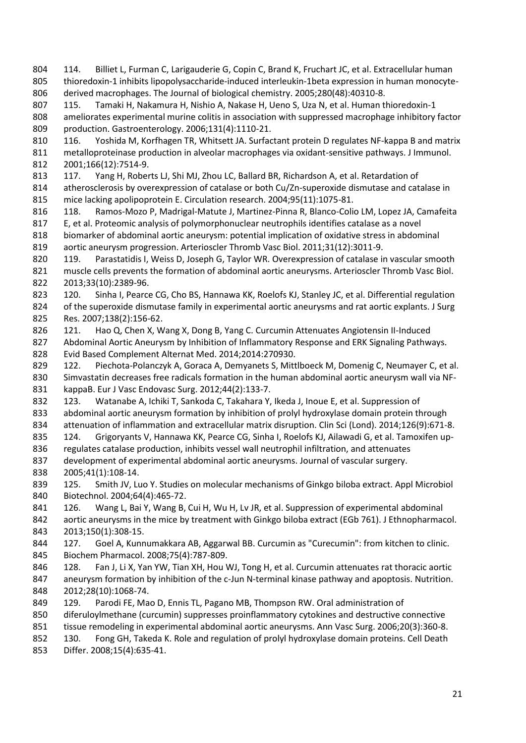114. Billiet L, Furman C, Larigauderie G, Copin C, Brand K, Fruchart JC, et al. Extracellular human 805 thioredoxin-1 inhibits lipopolysaccharide-induced interleukin-1beta expression in human monocyte-derived macrophages. The Journal of biological chemistry. 2005;280(48):40310-8.

 115. Tamaki H, Nakamura H, Nishio A, Nakase H, Ueno S, Uza N, et al. Human thioredoxin-1 ameliorates experimental murine colitis in association with suppressed macrophage inhibitory factor production. Gastroenterology. 2006;131(4):1110-21.

 116. Yoshida M, Korfhagen TR, Whitsett JA. Surfactant protein D regulates NF-kappa B and matrix metalloproteinase production in alveolar macrophages via oxidant-sensitive pathways. J Immunol. 2001;166(12):7514-9.

813 117. Yang H, Roberts LJ, Shi MJ, Zhou LC, Ballard BR, Richardson A, et al. Retardation of atherosclerosis by overexpression of catalase or both Cu/Zn-superoxide dismutase and catalase in mice lacking apolipoprotein E. Circulation research. 2004;95(11):1075-81.

118. Ramos-Mozo P, Madrigal-Matute J, Martinez-Pinna R, Blanco-Colio LM, Lopez JA, Camafeita

 E, et al. Proteomic analysis of polymorphonuclear neutrophils identifies catalase as a novel biomarker of abdominal aortic aneurysm: potential implication of oxidative stress in abdominal aortic aneurysm progression. Arterioscler Thromb Vasc Biol. 2011;31(12):3011-9.

 119. Parastatidis I, Weiss D, Joseph G, Taylor WR. Overexpression of catalase in vascular smooth muscle cells prevents the formation of abdominal aortic aneurysms. Arterioscler Thromb Vasc Biol. 2013;33(10):2389-96.

 120. Sinha I, Pearce CG, Cho BS, Hannawa KK, Roelofs KJ, Stanley JC, et al. Differential regulation of the superoxide dismutase family in experimental aortic aneurysms and rat aortic explants. J Surg Res. 2007;138(2):156-62.

 121. Hao Q, Chen X, Wang X, Dong B, Yang C. Curcumin Attenuates Angiotensin II-Induced 827 Abdominal Aortic Aneurysm by Inhibition of Inflammatory Response and ERK Signaling Pathways. Evid Based Complement Alternat Med. 2014;2014:270930.

829 122. Piechota-Polanczyk A, Goraca A, Demyanets S, Mittlboeck M, Domenig C, Neumayer C, et al. Simvastatin decreases free radicals formation in the human abdominal aortic aneurysm wall via NF-kappaB. Eur J Vasc Endovasc Surg. 2012;44(2):133-7.

 123. Watanabe A, Ichiki T, Sankoda C, Takahara Y, Ikeda J, Inoue E, et al. Suppression of abdominal aortic aneurysm formation by inhibition of prolyl hydroxylase domain protein through 834 attenuation of inflammation and extracellular matrix disruption. Clin Sci (Lond). 2014;126(9):671-8.

835 124. Grigoryants V, Hannawa KK, Pearce CG, Sinha I, Roelofs KJ, Ailawadi G, et al. Tamoxifen up-

regulates catalase production, inhibits vessel wall neutrophil infiltration, and attenuates

development of experimental abdominal aortic aneurysms. Journal of vascular surgery.

2005;41(1):108-14.

 125. Smith JV, Luo Y. Studies on molecular mechanisms of Ginkgo biloba extract. Appl Microbiol Biotechnol. 2004;64(4):465-72.

126. Wang L, Bai Y, Wang B, Cui H, Wu H, Lv JR, et al. Suppression of experimental abdominal

 aortic aneurysms in the mice by treatment with Ginkgo biloba extract (EGb 761). J Ethnopharmacol. 2013;150(1):308-15.

 127. Goel A, Kunnumakkara AB, Aggarwal BB. Curcumin as "Curecumin": from kitchen to clinic. Biochem Pharmacol. 2008;75(4):787-809.

846 128. Fan J, Li X, Yan YW, Tian XH, Hou WJ, Tong H, et al. Curcumin attenuates rat thoracic aortic aneurysm formation by inhibition of the c-Jun N-terminal kinase pathway and apoptosis. Nutrition. 2012;28(10):1068-74.

129. Parodi FE, Mao D, Ennis TL, Pagano MB, Thompson RW. Oral administration of

diferuloylmethane (curcumin) suppresses proinflammatory cytokines and destructive connective

tissue remodeling in experimental abdominal aortic aneurysms. Ann Vasc Surg. 2006;20(3):360-8.

 130. Fong GH, Takeda K. Role and regulation of prolyl hydroxylase domain proteins. Cell Death Differ. 2008;15(4):635-41.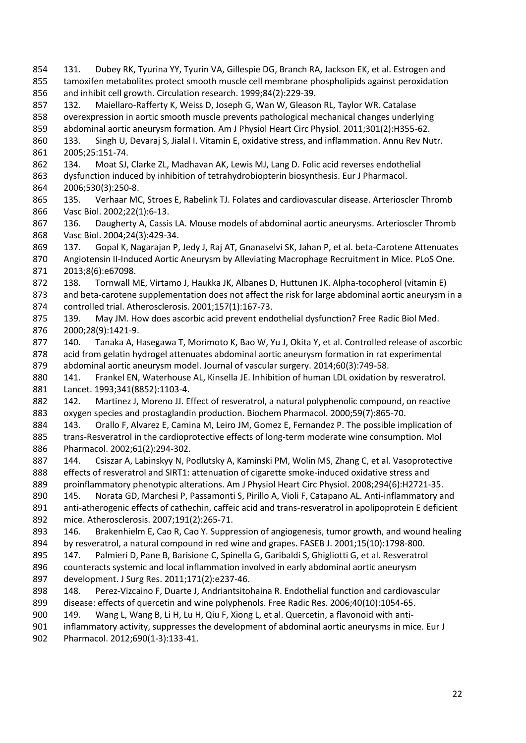131. Dubey RK, Tyurina YY, Tyurin VA, Gillespie DG, Branch RA, Jackson EK, et al. Estrogen and tamoxifen metabolites protect smooth muscle cell membrane phospholipids against peroxidation and inhibit cell growth. Circulation research. 1999;84(2):229-39. 132. Maiellaro-Rafferty K, Weiss D, Joseph G, Wan W, Gleason RL, Taylor WR. Catalase overexpression in aortic smooth muscle prevents pathological mechanical changes underlying abdominal aortic aneurysm formation. Am J Physiol Heart Circ Physiol. 2011;301(2):H355-62. 860 133. Singh U, Devaraj S, Jialal I. Vitamin E, oxidative stress, and inflammation. Annu Rev Nutr. 2005;25:151-74. 134. Moat SJ, Clarke ZL, Madhavan AK, Lewis MJ, Lang D. Folic acid reverses endothelial dysfunction induced by inhibition of tetrahydrobiopterin biosynthesis. Eur J Pharmacol. 2006;530(3):250-8. 135. Verhaar MC, Stroes E, Rabelink TJ. Folates and cardiovascular disease. Arterioscler Thromb Vasc Biol. 2002;22(1):6-13. 136. Daugherty A, Cassis LA. Mouse models of abdominal aortic aneurysms. Arterioscler Thromb Vasc Biol. 2004;24(3):429-34. 137. Gopal K, Nagarajan P, Jedy J, Raj AT, Gnanaselvi SK, Jahan P, et al. beta-Carotene Attenuates Angiotensin II-Induced Aortic Aneurysm by Alleviating Macrophage Recruitment in Mice. PLoS One. 2013;8(6):e67098. 138. Tornwall ME, Virtamo J, Haukka JK, Albanes D, Huttunen JK. Alpha-tocopherol (vitamin E) and beta-carotene supplementation does not affect the risk for large abdominal aortic aneurysm in a controlled trial. Atherosclerosis. 2001;157(1):167-73. 875 139. May JM. How does ascorbic acid prevent endothelial dysfunction? Free Radic Biol Med. 2000;28(9):1421-9. 877 140. Tanaka A, Hasegawa T, Morimoto K, Bao W, Yu J, Okita Y, et al. Controlled release of ascorbic acid from gelatin hydrogel attenuates abdominal aortic aneurysm formation in rat experimental abdominal aortic aneurysm model. Journal of vascular surgery. 2014;60(3):749-58. 880 141. Frankel EN, Waterhouse AL, Kinsella JE. Inhibition of human LDL oxidation by resveratrol. Lancet. 1993;341(8852):1103-4. 142. Martinez J, Moreno JJ. Effect of resveratrol, a natural polyphenolic compound, on reactive oxygen species and prostaglandin production. Biochem Pharmacol. 2000;59(7):865-70. 884 143. Orallo F, Alvarez E, Camina M, Leiro JM, Gomez E, Fernandez P. The possible implication of trans-Resveratrol in the cardioprotective effects of long-term moderate wine consumption. Mol Pharmacol. 2002;61(2):294-302. 144. Csiszar A, Labinskyy N, Podlutsky A, Kaminski PM, Wolin MS, Zhang C, et al. Vasoprotective effects of resveratrol and SIRT1: attenuation of cigarette smoke-induced oxidative stress and proinflammatory phenotypic alterations. Am J Physiol Heart Circ Physiol. 2008;294(6):H2721-35. 890 145. Norata GD, Marchesi P, Passamonti S, Pirillo A, Violi F, Catapano AL. Anti-inflammatory and anti-atherogenic effects of cathechin, caffeic acid and trans-resveratrol in apolipoprotein E deficient mice. Atherosclerosis. 2007;191(2):265-71. 146. Brakenhielm E, Cao R, Cao Y. Suppression of angiogenesis, tumor growth, and wound healing by resveratrol, a natural compound in red wine and grapes. FASEB J. 2001;15(10):1798-800. 147. Palmieri D, Pane B, Barisione C, Spinella G, Garibaldi S, Ghigliotti G, et al. Resveratrol counteracts systemic and local inflammation involved in early abdominal aortic aneurysm development. J Surg Res. 2011;171(2):e237-46. 148. Perez-Vizcaino F, Duarte J, Andriantsitohaina R. Endothelial function and cardiovascular disease: effects of quercetin and wine polyphenols. Free Radic Res. 2006;40(10):1054-65. 149. Wang L, Wang B, Li H, Lu H, Qiu F, Xiong L, et al. Quercetin, a flavonoid with anti- inflammatory activity, suppresses the development of abdominal aortic aneurysms in mice. Eur J Pharmacol. 2012;690(1-3):133-41.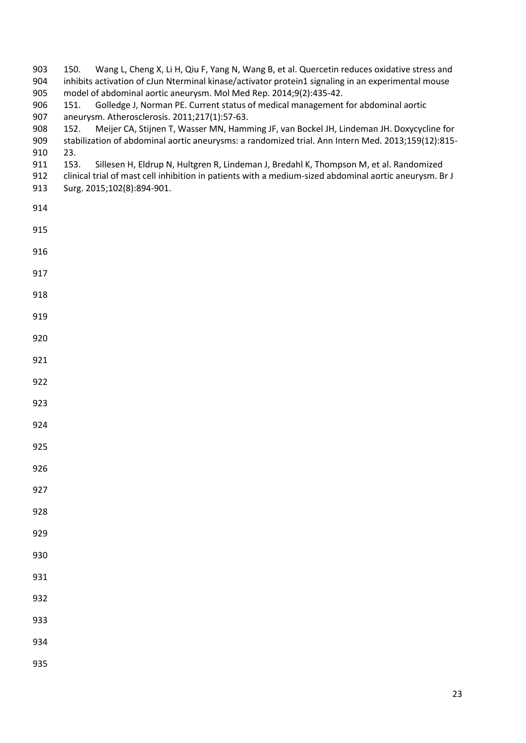| 903<br>904<br>905<br>906<br>907<br>908<br>909<br>910<br>911<br>912<br>913 | Wang L, Cheng X, Li H, Qiu F, Yang N, Wang B, et al. Quercetin reduces oxidative stress and<br>150.<br>inhibits activation of cJun Nterminal kinase/activator protein1 signaling in an experimental mouse<br>model of abdominal aortic aneurysm. Mol Med Rep. 2014;9(2):435-42.<br>Golledge J, Norman PE. Current status of medical management for abdominal aortic<br>151.<br>aneurysm. Atherosclerosis. 2011;217(1):57-63.<br>152.<br>Meijer CA, Stijnen T, Wasser MN, Hamming JF, van Bockel JH, Lindeman JH. Doxycycline for<br>stabilization of abdominal aortic aneurysms: a randomized trial. Ann Intern Med. 2013;159(12):815-<br>23.<br>Sillesen H, Eldrup N, Hultgren R, Lindeman J, Bredahl K, Thompson M, et al. Randomized<br>153.<br>clinical trial of mast cell inhibition in patients with a medium-sized abdominal aortic aneurysm. Br J<br>Surg. 2015;102(8):894-901. |
|---------------------------------------------------------------------------|-----------------------------------------------------------------------------------------------------------------------------------------------------------------------------------------------------------------------------------------------------------------------------------------------------------------------------------------------------------------------------------------------------------------------------------------------------------------------------------------------------------------------------------------------------------------------------------------------------------------------------------------------------------------------------------------------------------------------------------------------------------------------------------------------------------------------------------------------------------------------------------------|
| 914                                                                       |                                                                                                                                                                                                                                                                                                                                                                                                                                                                                                                                                                                                                                                                                                                                                                                                                                                                                         |
| 915                                                                       |                                                                                                                                                                                                                                                                                                                                                                                                                                                                                                                                                                                                                                                                                                                                                                                                                                                                                         |
| 916                                                                       |                                                                                                                                                                                                                                                                                                                                                                                                                                                                                                                                                                                                                                                                                                                                                                                                                                                                                         |
| 917                                                                       |                                                                                                                                                                                                                                                                                                                                                                                                                                                                                                                                                                                                                                                                                                                                                                                                                                                                                         |
| 918                                                                       |                                                                                                                                                                                                                                                                                                                                                                                                                                                                                                                                                                                                                                                                                                                                                                                                                                                                                         |
| 919                                                                       |                                                                                                                                                                                                                                                                                                                                                                                                                                                                                                                                                                                                                                                                                                                                                                                                                                                                                         |
| 920                                                                       |                                                                                                                                                                                                                                                                                                                                                                                                                                                                                                                                                                                                                                                                                                                                                                                                                                                                                         |
| 921                                                                       |                                                                                                                                                                                                                                                                                                                                                                                                                                                                                                                                                                                                                                                                                                                                                                                                                                                                                         |
| 922                                                                       |                                                                                                                                                                                                                                                                                                                                                                                                                                                                                                                                                                                                                                                                                                                                                                                                                                                                                         |
| 923                                                                       |                                                                                                                                                                                                                                                                                                                                                                                                                                                                                                                                                                                                                                                                                                                                                                                                                                                                                         |
| 924                                                                       |                                                                                                                                                                                                                                                                                                                                                                                                                                                                                                                                                                                                                                                                                                                                                                                                                                                                                         |
| 925                                                                       |                                                                                                                                                                                                                                                                                                                                                                                                                                                                                                                                                                                                                                                                                                                                                                                                                                                                                         |
| 926                                                                       |                                                                                                                                                                                                                                                                                                                                                                                                                                                                                                                                                                                                                                                                                                                                                                                                                                                                                         |
| 927                                                                       |                                                                                                                                                                                                                                                                                                                                                                                                                                                                                                                                                                                                                                                                                                                                                                                                                                                                                         |
| 928                                                                       |                                                                                                                                                                                                                                                                                                                                                                                                                                                                                                                                                                                                                                                                                                                                                                                                                                                                                         |
| 929                                                                       |                                                                                                                                                                                                                                                                                                                                                                                                                                                                                                                                                                                                                                                                                                                                                                                                                                                                                         |
| 930                                                                       |                                                                                                                                                                                                                                                                                                                                                                                                                                                                                                                                                                                                                                                                                                                                                                                                                                                                                         |
| 931                                                                       |                                                                                                                                                                                                                                                                                                                                                                                                                                                                                                                                                                                                                                                                                                                                                                                                                                                                                         |
| 932                                                                       |                                                                                                                                                                                                                                                                                                                                                                                                                                                                                                                                                                                                                                                                                                                                                                                                                                                                                         |
| 933                                                                       |                                                                                                                                                                                                                                                                                                                                                                                                                                                                                                                                                                                                                                                                                                                                                                                                                                                                                         |
| 934                                                                       |                                                                                                                                                                                                                                                                                                                                                                                                                                                                                                                                                                                                                                                                                                                                                                                                                                                                                         |
| 935                                                                       |                                                                                                                                                                                                                                                                                                                                                                                                                                                                                                                                                                                                                                                                                                                                                                                                                                                                                         |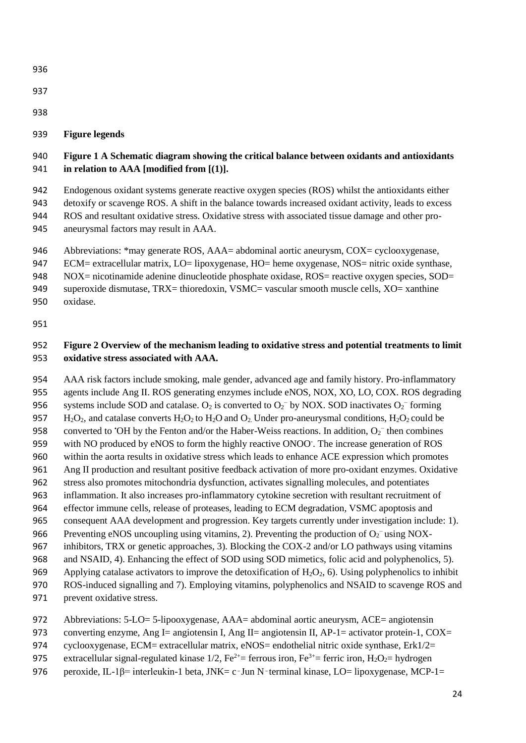- 
- 
- 

## **Figure legends**

## **Figure 1 A Schematic diagram showing the critical balance between oxidants and antioxidants in relation to AAA [modified from [(1)].**

 Endogenous oxidant systems generate reactive oxygen species (ROS) whilst the antioxidants either detoxify or scavenge ROS. A shift in the balance towards increased oxidant activity, leads to excess ROS and resultant oxidative stress. Oxidative stress with associated tissue damage and other pro-aneurysmal factors may result in AAA.

946 Abbreviations: \*may generate ROS, AAA= abdominal aortic aneurysm, COX= cyclooxygenase,

947 ECM= extracellular matrix, LO= lipoxygenase, HO= heme oxygenase, NOS= nitric oxide synthase,

948 NOX= nicotinamide adenine dinucleotide phosphate oxidase, ROS= reactive oxygen species, SOD=

949 superoxide dismutase, TRX= thioredoxin, VSMC= vascular smooth muscle cells, XO= xanthine

oxidase.

## **Figure 2 Overview of the mechanism leading to oxidative stress and potential treatments to limit oxidative stress associated with AAA.**

 AAA risk factors include smoking, male gender, advanced age and family history. Pro-inflammatory agents include Ang II. ROS generating enzymes include eNOS, NOX, XO, LO, COX. ROS degrading 956 systems include SOD and catalase.  $O_2$  is converted to  $O_2^-$  by NOX. SOD inactivates  $O_2^-$  forming 957 H<sub>2</sub>O<sub>2</sub>, and catalase converts H<sub>2</sub>O<sub>2</sub> to H<sub>2</sub>O and O<sub>2</sub>. Under pro-aneurysmal conditions, H<sub>2</sub>O<sub>2</sub> could be 958 converted to 'OH by the Fenton and/or the Haber-Weiss reactions. In addition,  $O_2^-$  then combines 959 with NO produced by eNOS to form the highly reactive ONOO. The increase generation of ROS within the aorta results in oxidative stress which leads to enhance ACE expression which promotes Ang II production and resultant positive feedback activation of more pro-oxidant enzymes. Oxidative stress also promotes mitochondria dysfunction, activates signalling molecules, and potentiates inflammation. It also increases pro-inflammatory cytokine secretion with resultant recruitment of effector immune cells, release of proteases, leading to ECM degradation, VSMC apoptosis and consequent AAA development and progression. Key targets currently under investigation include: 1). 966 Preventing eNOS uncoupling using vitamins, 2). Preventing the production of  $O_2^-$  using NOX- inhibitors, TRX or genetic approaches, 3). Blocking the COX-2 and/or LO pathways using vitamins and NSAID, 4). Enhancing the effect of SOD using SOD mimetics, folic acid and polyphenolics, 5). 969 Applying catalase activators to improve the detoxification of  $H_2O_2$ , 6). Using polyphenolics to inhibit

ROS-induced signalling and 7). Employing vitamins, polyphenolics and NSAID to scavenge ROS and

prevent oxidative stress.

Abbreviations: 5-LO= 5-lipooxygenase, AAA= abdominal aortic aneurysm, ACE= angiotensin

973 converting enzyme, Ang I= angiotensin I, Ang II= angiotensin II, AP-1= activator protein-1, COX=

974 cyclooxygenase, ECM= extracellular matrix, eNOS= endothelial nitric oxide synthase, Erk1/2=

975 extracellular signal-regulated kinase 1/2,  $\text{Fe}^{2+}$  ferrous iron,  $\text{Fe}^{3+}$  ferric iron,  $\text{H}_2\text{O}_2$  hydrogen

976 peroxide, IL-1β= interleukin-1 beta, JNK= c·Jun N·terminal kinase, LO= lipoxygenase, MCP-1=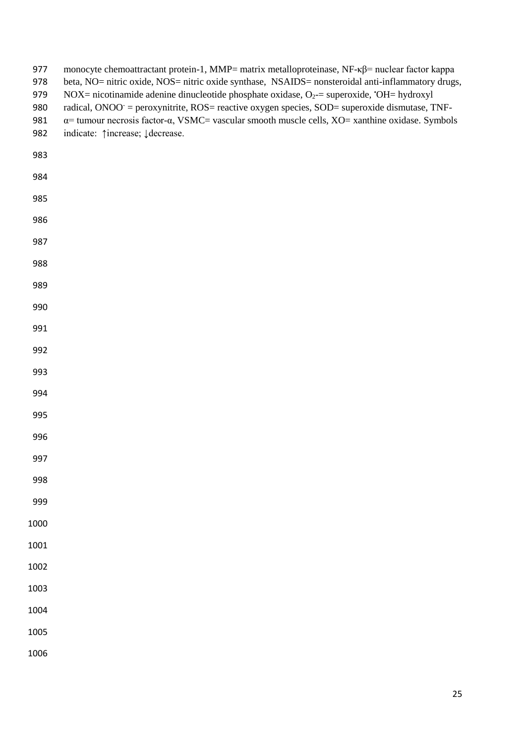| 977<br>978<br>979<br>980<br>981<br>982 | monocyte chemoattractant protein-1, MMP= matrix metalloproteinase, NF- $\kappa\beta$ = nuclear factor kappa<br>beta, NO= nitric oxide, NOS= nitric oxide synthase, NSAIDS= nonsteroidal anti-inflammatory drugs,<br>NOX= nicotinamide adenine dinucleotide phosphate oxidase, $O_2$ = superoxide, 'OH= hydroxyl<br>radical, ONOO <sup>-</sup> = peroxynitrite, ROS= reactive oxygen species, SOD= superoxide dismutase, TNF-<br>$\alpha$ = tumour necrosis factor- $\alpha$ , VSMC= vascular smooth muscle cells, XO= xanthine oxidase. Symbols<br>indicate: $\uparrow$ increase; $\downarrow$ decrease. |
|----------------------------------------|----------------------------------------------------------------------------------------------------------------------------------------------------------------------------------------------------------------------------------------------------------------------------------------------------------------------------------------------------------------------------------------------------------------------------------------------------------------------------------------------------------------------------------------------------------------------------------------------------------|
| 983                                    |                                                                                                                                                                                                                                                                                                                                                                                                                                                                                                                                                                                                          |
| 984                                    |                                                                                                                                                                                                                                                                                                                                                                                                                                                                                                                                                                                                          |
| 985                                    |                                                                                                                                                                                                                                                                                                                                                                                                                                                                                                                                                                                                          |
| 986                                    |                                                                                                                                                                                                                                                                                                                                                                                                                                                                                                                                                                                                          |
| 987                                    |                                                                                                                                                                                                                                                                                                                                                                                                                                                                                                                                                                                                          |
| 988                                    |                                                                                                                                                                                                                                                                                                                                                                                                                                                                                                                                                                                                          |
| 989                                    |                                                                                                                                                                                                                                                                                                                                                                                                                                                                                                                                                                                                          |
| 990                                    |                                                                                                                                                                                                                                                                                                                                                                                                                                                                                                                                                                                                          |
| 991                                    |                                                                                                                                                                                                                                                                                                                                                                                                                                                                                                                                                                                                          |
| 992                                    |                                                                                                                                                                                                                                                                                                                                                                                                                                                                                                                                                                                                          |
| 993                                    |                                                                                                                                                                                                                                                                                                                                                                                                                                                                                                                                                                                                          |
| 994                                    |                                                                                                                                                                                                                                                                                                                                                                                                                                                                                                                                                                                                          |
| 995                                    |                                                                                                                                                                                                                                                                                                                                                                                                                                                                                                                                                                                                          |
| 996                                    |                                                                                                                                                                                                                                                                                                                                                                                                                                                                                                                                                                                                          |
| 997                                    |                                                                                                                                                                                                                                                                                                                                                                                                                                                                                                                                                                                                          |
| 998                                    |                                                                                                                                                                                                                                                                                                                                                                                                                                                                                                                                                                                                          |
| 999                                    |                                                                                                                                                                                                                                                                                                                                                                                                                                                                                                                                                                                                          |
| 1000                                   |                                                                                                                                                                                                                                                                                                                                                                                                                                                                                                                                                                                                          |
| 1001                                   |                                                                                                                                                                                                                                                                                                                                                                                                                                                                                                                                                                                                          |
| 1002                                   |                                                                                                                                                                                                                                                                                                                                                                                                                                                                                                                                                                                                          |
| 1003                                   |                                                                                                                                                                                                                                                                                                                                                                                                                                                                                                                                                                                                          |
| 1004                                   |                                                                                                                                                                                                                                                                                                                                                                                                                                                                                                                                                                                                          |
| 1005                                   |                                                                                                                                                                                                                                                                                                                                                                                                                                                                                                                                                                                                          |
| 1006                                   |                                                                                                                                                                                                                                                                                                                                                                                                                                                                                                                                                                                                          |
|                                        |                                                                                                                                                                                                                                                                                                                                                                                                                                                                                                                                                                                                          |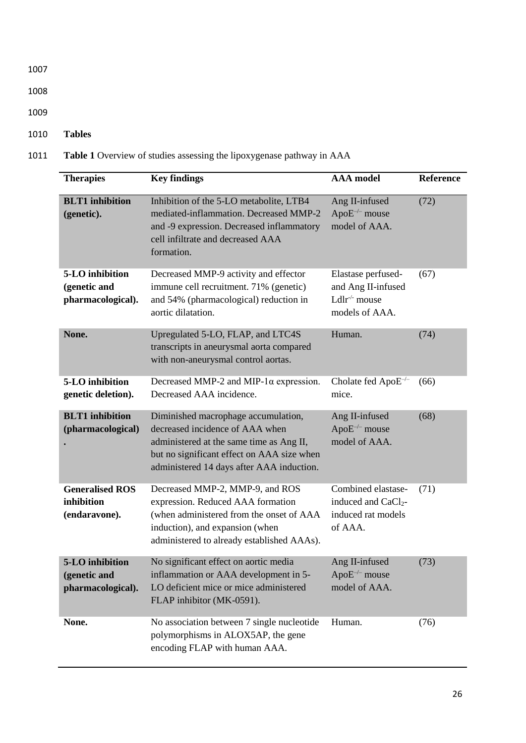- 1008
- 1009
- 1010 **Tables**
- 1011 **Table 1** Overview of studies assessing the lipoxygenase pathway in AAA

| <b>Therapies</b>                                      | <b>Key findings</b>                                                                                                                                                                                           | <b>AAA</b> model                                                                        | Reference |
|-------------------------------------------------------|---------------------------------------------------------------------------------------------------------------------------------------------------------------------------------------------------------------|-----------------------------------------------------------------------------------------|-----------|
| <b>BLT1</b> inhibition<br>(genetic).                  | Inhibition of the 5-LO metabolite, LTB4<br>mediated-inflammation. Decreased MMP-2<br>and -9 expression. Decreased inflammatory<br>cell infiltrate and decreased AAA<br>formation.                             | Ang II-infused<br>Apo $E^{-/-}$ mouse<br>model of AAA.                                  | (72)      |
| 5-LO inhibition<br>(genetic and<br>pharmacological).  | Decreased MMP-9 activity and effector<br>immune cell recruitment. 71% (genetic)<br>and 54% (pharmacological) reduction in<br>aortic dilatation.                                                               | Elastase perfused-<br>and Ang II-infused<br>Ldlr <sup>-/-</sup> mouse<br>models of AAA. | (67)      |
| None.                                                 | Upregulated 5-LO, FLAP, and LTC4S<br>transcripts in aneurysmal aorta compared<br>with non-aneurysmal control aortas.                                                                                          | Human.                                                                                  | (74)      |
| 5-LO inhibition<br>genetic deletion).                 | Decreased MMP-2 and MIP-1 $\alpha$ expression.<br>Decreased AAA incidence.                                                                                                                                    | Cholate fed Apo $E^{-/-}$<br>mice.                                                      | (66)      |
| <b>BLT1</b> inhibition<br>(pharmacological)           | Diminished macrophage accumulation,<br>decreased incidence of AAA when<br>administered at the same time as Ang II,<br>but no significant effect on AAA size when<br>administered 14 days after AAA induction. | Ang II-infused<br>Apo $E^{-/-}$ mouse<br>model of AAA.                                  | (68)      |
| <b>Generalised ROS</b><br>inhibition<br>(endaravone). | Decreased MMP-2, MMP-9, and ROS<br>expression. Reduced AAA formation<br>(when administered from the onset of AAA<br>induction), and expansion (when<br>administered to already established AAAs).             | Combined elastase-<br>induced and CaCl <sub>2</sub> -<br>induced rat models<br>of AAA.  | (71)      |
| 5-LO inhibition<br>(genetic and<br>pharmacological).  | No significant effect on aortic media<br>inflammation or AAA development in 5-<br>LO deficient mice or mice administered<br>FLAP inhibitor (MK-0591).                                                         | Ang II-infused<br>$ApoE^{-/-}$ mouse<br>model of AAA.                                   | (73)      |
| None.                                                 | No association between 7 single nucleotide<br>polymorphisms in ALOX5AP, the gene<br>encoding FLAP with human AAA.                                                                                             | Human.                                                                                  | (76)      |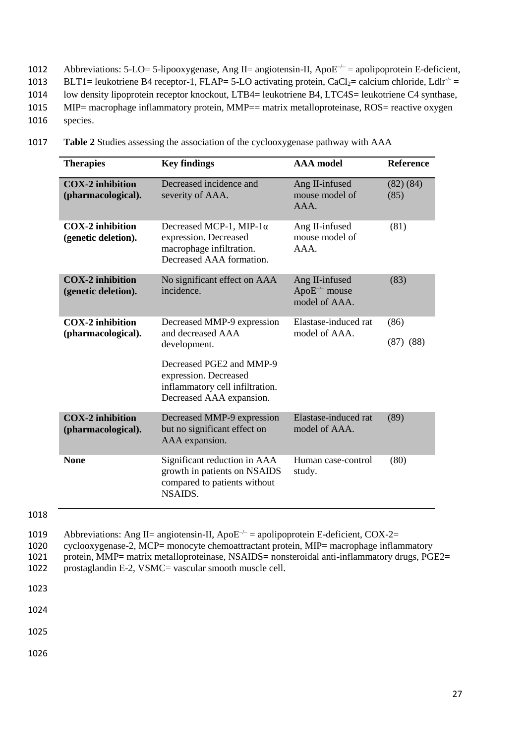- 1012 Abbreviations: 5-LO= 5-lipooxygenase, Ang II= angiotensin-II, Apo $E^{-/-}$  = apolipoprotein E-deficient, 1013 BLT1= leukotriene B4 receptor-1, FLAP= 5-LO activating protein, CaCl<sub>2</sub>= calcium chloride, Ldlr<sup>-/-</sup> = 1014 low density lipoprotein receptor knockout, LTB4= leukotriene B4, LTC4S= leukotriene C4 synthase, 1015 MIP= macrophage inflammatory protein, MMP== matrix metalloproteinase, ROS= reactive oxygen
- 1016 species.
- 1017 **Table 2** Studies assessing the association of the cyclooxygenase pathway with AAA

| <b>Therapies</b>                               | <b>Key findings</b>                                                                                                                                                                 | <b>AAA</b> model                                       | <b>Reference</b>      |
|------------------------------------------------|-------------------------------------------------------------------------------------------------------------------------------------------------------------------------------------|--------------------------------------------------------|-----------------------|
| <b>COX-2</b> inhibition<br>(pharmacological).  | Decreased incidence and<br>severity of AAA.                                                                                                                                         | Ang II-infused<br>mouse model of<br>AAA.               | (82) (84)<br>(85)     |
| <b>COX-2</b> inhibition<br>(genetic deletion). | Decreased MCP-1, MIP-1 $\alpha$<br>expression. Decreased<br>macrophage infiltration.<br>Decreased AAA formation.                                                                    | Ang II-infused<br>mouse model of<br>AAA.               | (81)                  |
| <b>COX-2</b> inhibition<br>(genetic deletion). | No significant effect on AAA<br>incidence.                                                                                                                                          | Ang II-infused<br>Apo $E^{-/-}$ mouse<br>model of AAA. | (83)                  |
| <b>COX-2</b> inhibition<br>(pharmacological).  | Decreased MMP-9 expression<br>and decreased AAA<br>development.<br>Decreased PGE2 and MMP-9<br>expression. Decreased<br>inflammatory cell infiltration.<br>Decreased AAA expansion. | Elastase-induced rat<br>model of AAA.                  | (86)<br>$(87)$ $(88)$ |
| <b>COX-2</b> inhibition<br>(pharmacological).  | Decreased MMP-9 expression<br>but no significant effect on<br>AAA expansion.                                                                                                        | Elastase-induced rat<br>model of AAA.                  | (89)                  |
| <b>None</b>                                    | Significant reduction in AAA<br>growth in patients on NSAIDS<br>compared to patients without<br><b>NSAIDS.</b>                                                                      | Human case-control<br>study.                           | (80)                  |

- 1019 Abbreviations: Ang II= angiotensin-II, Apo $E^{-/-}$  = apolipoprotein E-deficient, COX-2=<br>1020 cyclooxygenase-2, MCP= monocyte chemoattractant protein, MIP= macrophage inflan
- cyclooxygenase-2, MCP= monocyte chemoattractant protein, MIP= macrophage inflammatory
- 1021 protein, MMP= matrix metalloproteinase, NSAIDS= nonsteroidal anti-inflammatory drugs, PGE2=<br>1022 prostaglandin E-2, VSMC= vascular smooth muscle cell.
- prostaglandin E-2, VSMC= vascular smooth muscle cell.
- 1023

1024

1025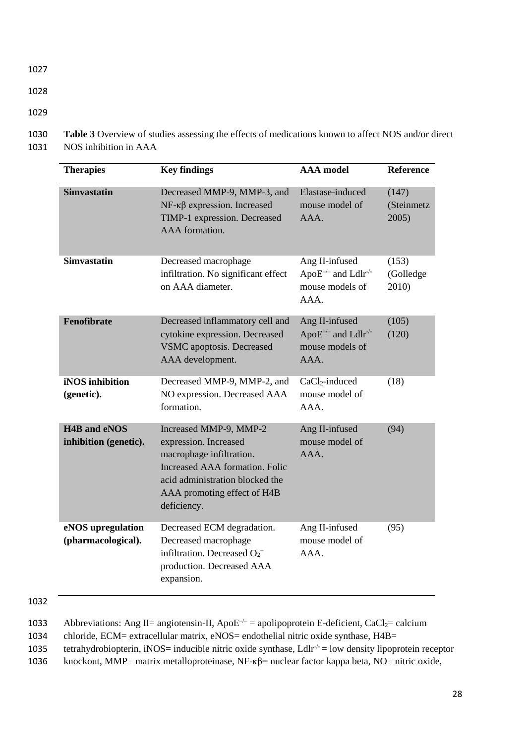- 1027
- 1028

1030 **Table 3** Overview of studies assessing the effects of medications known to affect NOS and/or direct 1031 NOS inhibition in AAA

| <b>Therapies</b>                             | <b>Key findings</b>                                                                                                                                                                            | <b>AAA</b> model                                                                   | Reference                    |
|----------------------------------------------|------------------------------------------------------------------------------------------------------------------------------------------------------------------------------------------------|------------------------------------------------------------------------------------|------------------------------|
| <b>Simvastatin</b>                           | Decreased MMP-9, MMP-3, and<br>$NF$ - $\kappa\beta$ expression. Increased<br>TIMP-1 expression. Decreased<br>AAA formation.                                                                    | Elastase-induced<br>mouse model of<br>AAA.                                         | (147)<br>(Steinmetz<br>2005) |
| <b>Simvastatin</b>                           | Decreased macrophage<br>infiltration. No significant effect<br>on AAA diameter.                                                                                                                | Ang II-infused<br>Apo $E^{-/-}$ and Ldlr <sup>-/-</sup><br>mouse models of<br>AAA. | (153)<br>(Golledge<br>2010)  |
| Fenofibrate                                  | Decreased inflammatory cell and<br>cytokine expression. Decreased<br><b>VSMC</b> apoptosis. Decreased<br>AAA development.                                                                      | Ang II-infused<br>Apo $E^{-/-}$ and Ldlr <sup>-/-</sup><br>mouse models of<br>AAA. | (105)<br>(120)               |
| iNOS inhibition<br>(genetic).                | Decreased MMP-9, MMP-2, and<br>NO expression. Decreased AAA<br>formation.                                                                                                                      | $CaCl2-induced$<br>mouse model of<br>AAA.                                          | (18)                         |
| <b>H4B</b> and eNOS<br>inhibition (genetic). | Increased MMP-9, MMP-2<br>expression. Increased<br>macrophage infiltration.<br>Increased AAA formation. Folic<br>acid administration blocked the<br>AAA promoting effect of H4B<br>deficiency. | Ang II-infused<br>mouse model of<br>AAA.                                           | (94)                         |
| eNOS upregulation<br>(pharmacological).      | Decreased ECM degradation.<br>Decreased macrophage<br>infiltration. Decreased $O_2^-$<br>production. Decreased AAA<br>expansion.                                                               | Ang II-infused<br>mouse model of<br>AAA.                                           | (95)                         |

1032

1033 Abbreviations: Ang II= angiotensin-II, Apo $E^{-/-}$  = apolipoprotein E-deficient, CaCl<sub>2</sub>= calcium

1034 chloride, ECM= extracellular matrix, eNOS= endothelial nitric oxide synthase, H4B=

1035 tetrahydrobiopterin, iNOS= inducible nitric oxide synthase,  $L \frac{d}{dr}$  = low density lipoprotein receptor

1036 knockout, MMP= matrix metalloproteinase, NF-κβ= nuclear factor kappa beta, NO= nitric oxide,